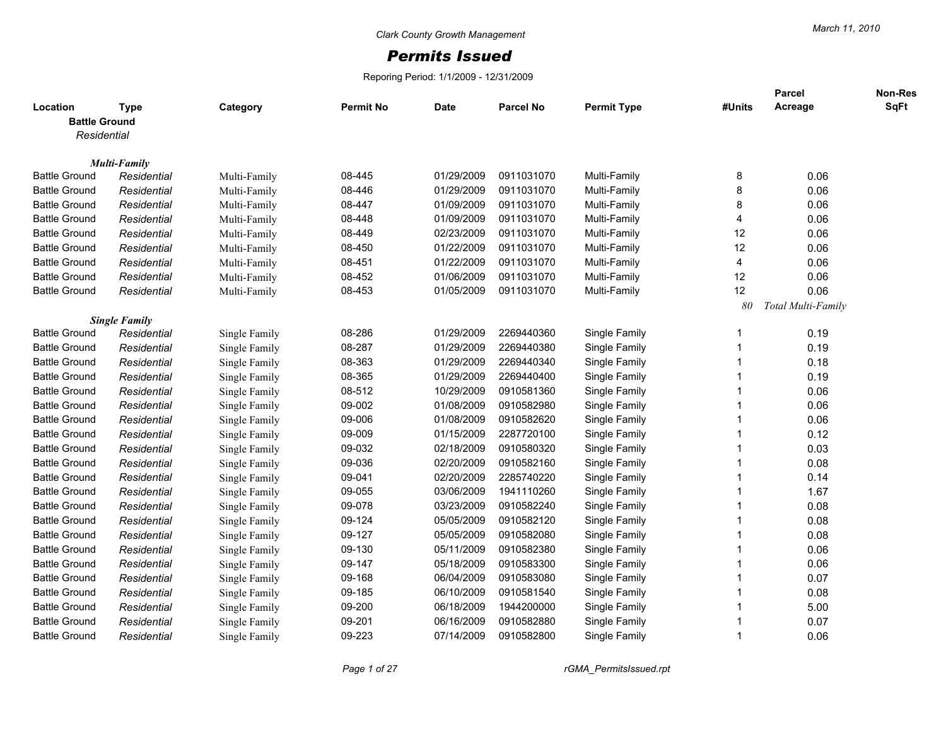## *Permits Issued*

Reporing Period: 1/1/2009 - 12/31/2009

| Location             | <b>Type</b>                        | Category      | <b>Permit No</b> | <b>Date</b> | <b>Parcel No</b> | <b>Permit Type</b> | #Units                  | Parcel<br>Acreage  | Non-Res<br>SqFt |
|----------------------|------------------------------------|---------------|------------------|-------------|------------------|--------------------|-------------------------|--------------------|-----------------|
| <b>Battle Ground</b> |                                    |               |                  |             |                  |                    |                         |                    |                 |
| Residential          |                                    |               |                  |             |                  |                    |                         |                    |                 |
|                      |                                    |               |                  |             |                  |                    |                         |                    |                 |
| <b>Battle Ground</b> | <b>Multi-Family</b><br>Residential | Multi-Family  | 08-445           | 01/29/2009  | 0911031070       | Multi-Family       | 8                       | 0.06               |                 |
| <b>Battle Ground</b> | Residential                        | Multi-Family  | 08-446           | 01/29/2009  | 0911031070       | Multi-Family       | $\,8\,$                 | 0.06               |                 |
| <b>Battle Ground</b> | Residential                        | Multi-Family  | 08-447           | 01/09/2009  | 0911031070       | Multi-Family       | $\,8\,$                 | 0.06               |                 |
| <b>Battle Ground</b> | Residential                        | Multi-Family  | 08-448           | 01/09/2009  | 0911031070       | Multi-Family       | $\overline{4}$          | 0.06               |                 |
| <b>Battle Ground</b> | Residential                        | Multi-Family  | 08-449           | 02/23/2009  | 0911031070       | Multi-Family       | 12                      | 0.06               |                 |
| <b>Battle Ground</b> | Residential                        | Multi-Family  | 08-450           | 01/22/2009  | 0911031070       | Multi-Family       | 12                      | 0.06               |                 |
| <b>Battle Ground</b> | Residential                        | Multi-Family  | 08-451           | 01/22/2009  | 0911031070       | Multi-Family       | $\overline{4}$          | 0.06               |                 |
| <b>Battle Ground</b> | Residential                        | Multi-Family  | 08-452           | 01/06/2009  | 0911031070       | Multi-Family       | 12                      | 0.06               |                 |
| <b>Battle Ground</b> | Residential                        | Multi-Family  | 08-453           | 01/05/2009  | 0911031070       | Multi-Family       | 12                      | 0.06               |                 |
|                      |                                    |               |                  |             |                  |                    | 80                      | Total Multi-Family |                 |
|                      | <b>Single Family</b>               |               |                  |             |                  |                    |                         |                    |                 |
| <b>Battle Ground</b> | Residential                        | Single Family | 08-286           | 01/29/2009  | 2269440360       | Single Family      | $\mathbf{1}$            | 0.19               |                 |
| <b>Battle Ground</b> | Residential                        | Single Family | 08-287           | 01/29/2009  | 2269440380       | Single Family      | $\mathbf{1}$            | 0.19               |                 |
| <b>Battle Ground</b> | Residential                        | Single Family | 08-363           | 01/29/2009  | 2269440340       | Single Family      | $\overline{\mathbf{1}}$ | 0.18               |                 |
| <b>Battle Ground</b> | Residential                        | Single Family | 08-365           | 01/29/2009  | 2269440400       | Single Family      |                         | 0.19               |                 |
| <b>Battle Ground</b> | Residential                        | Single Family | 08-512           | 10/29/2009  | 0910581360       | Single Family      | $\overline{1}$          | 0.06               |                 |
| <b>Battle Ground</b> | Residential                        | Single Family | 09-002           | 01/08/2009  | 0910582980       | Single Family      | $\overline{\mathbf{1}}$ | 0.06               |                 |
| <b>Battle Ground</b> | Residential                        | Single Family | 09-006           | 01/08/2009  | 0910582620       | Single Family      | 1                       | 0.06               |                 |
| <b>Battle Ground</b> | Residential                        | Single Family | 09-009           | 01/15/2009  | 2287720100       | Single Family      | $\overline{1}$          | 0.12               |                 |
| <b>Battle Ground</b> | Residential                        | Single Family | 09-032           | 02/18/2009  | 0910580320       | Single Family      | 1                       | 0.03               |                 |
| <b>Battle Ground</b> | Residential                        | Single Family | 09-036           | 02/20/2009  | 0910582160       | Single Family      | 1                       | 0.08               |                 |
| <b>Battle Ground</b> | Residential                        | Single Family | 09-041           | 02/20/2009  | 2285740220       | Single Family      | $\overline{\mathbf{1}}$ | 0.14               |                 |
| <b>Battle Ground</b> | Residential                        | Single Family | 09-055           | 03/06/2009  | 1941110260       | Single Family      | $\overline{\mathbf{1}}$ | 1.67               |                 |
| <b>Battle Ground</b> | Residential                        | Single Family | 09-078           | 03/23/2009  | 0910582240       | Single Family      | $\overline{1}$          | 0.08               |                 |
| <b>Battle Ground</b> | Residential                        | Single Family | 09-124           | 05/05/2009  | 0910582120       | Single Family      | 1                       | 0.08               |                 |
| <b>Battle Ground</b> | Residential                        | Single Family | 09-127           | 05/05/2009  | 0910582080       | Single Family      |                         | 0.08               |                 |
| <b>Battle Ground</b> | Residential                        | Single Family | 09-130           | 05/11/2009  | 0910582380       | Single Family      |                         | 0.06               |                 |
| <b>Battle Ground</b> | Residential                        | Single Family | 09-147           | 05/18/2009  | 0910583300       | Single Family      |                         | 0.06               |                 |
| <b>Battle Ground</b> | Residential                        | Single Family | 09-168           | 06/04/2009  | 0910583080       | Single Family      | $\overline{1}$          | 0.07               |                 |
| <b>Battle Ground</b> | Residential                        | Single Family | 09-185           | 06/10/2009  | 0910581540       | Single Family      | $\overline{\mathbf{1}}$ | 0.08               |                 |
| <b>Battle Ground</b> | Residential                        | Single Family | 09-200           | 06/18/2009  | 1944200000       | Single Family      |                         | 5.00               |                 |
| <b>Battle Ground</b> | Residential                        | Single Family | 09-201           | 06/16/2009  | 0910582880       | Single Family      | -1                      | 0.07               |                 |
| <b>Battle Ground</b> | Residential                        | Single Family | 09-223           | 07/14/2009  | 0910582800       | Single Family      | 1                       | 0.06               |                 |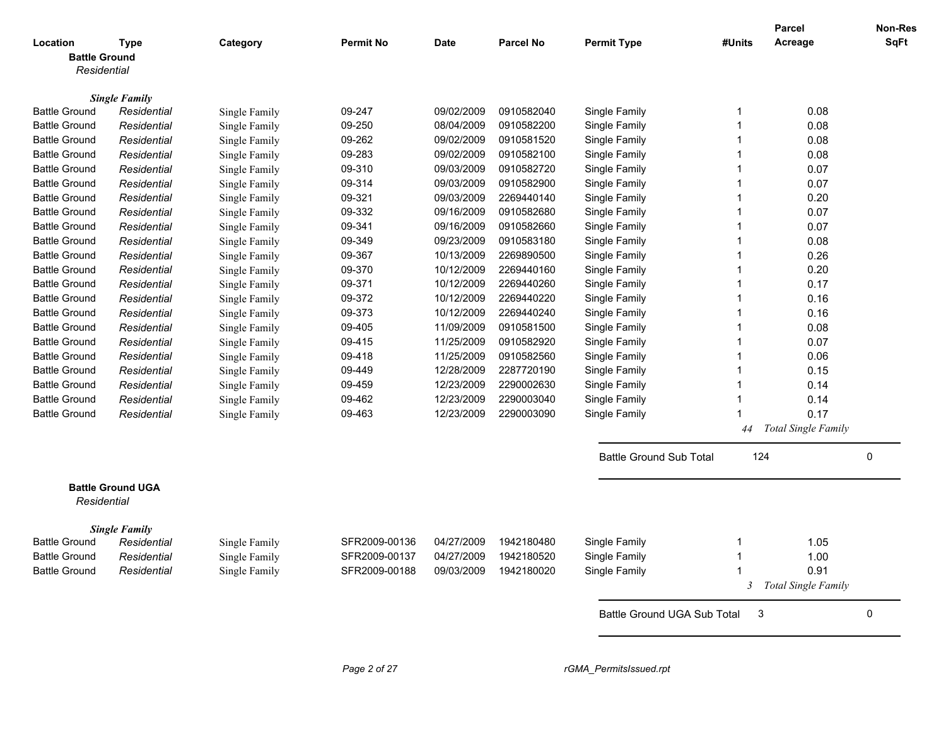|                      |                          |               |                  |             |                  |                                |        | Parcel                | <b>Non-Res</b> |
|----------------------|--------------------------|---------------|------------------|-------------|------------------|--------------------------------|--------|-----------------------|----------------|
| Location             | Type                     | Category      | <b>Permit No</b> | <b>Date</b> | <b>Parcel No</b> | <b>Permit Type</b>             | #Units | Acreage               | <b>SqFt</b>    |
| <b>Battle Ground</b> |                          |               |                  |             |                  |                                |        |                       |                |
| Residential          |                          |               |                  |             |                  |                                |        |                       |                |
|                      |                          |               |                  |             |                  |                                |        |                       |                |
|                      | <b>Single Family</b>     |               |                  |             |                  |                                |        |                       |                |
| <b>Battle Ground</b> | Residential              | Single Family | 09-247           | 09/02/2009  | 0910582040       | Single Family                  | 1      | 0.08                  |                |
| <b>Battle Ground</b> | Residential              | Single Family | 09-250           | 08/04/2009  | 0910582200       | Single Family                  |        | 0.08                  |                |
| <b>Battle Ground</b> | Residential              | Single Family | 09-262           | 09/02/2009  | 0910581520       | Single Family                  |        | 0.08                  |                |
| <b>Battle Ground</b> | Residential              | Single Family | 09-283           | 09/02/2009  | 0910582100       | Single Family                  |        | 0.08                  |                |
| <b>Battle Ground</b> | Residential              | Single Family | 09-310           | 09/03/2009  | 0910582720       | Single Family                  |        | 0.07                  |                |
| <b>Battle Ground</b> | Residential              | Single Family | 09-314           | 09/03/2009  | 0910582900       | Single Family                  |        | 0.07                  |                |
| <b>Battle Ground</b> | Residential              | Single Family | 09-321           | 09/03/2009  | 2269440140       | Single Family                  |        | 0.20                  |                |
| <b>Battle Ground</b> | Residential              | Single Family | 09-332           | 09/16/2009  | 0910582680       | Single Family                  |        | 0.07                  |                |
| <b>Battle Ground</b> | Residential              | Single Family | 09-341           | 09/16/2009  | 0910582660       | Single Family                  |        | 0.07                  |                |
| <b>Battle Ground</b> | Residential              | Single Family | 09-349           | 09/23/2009  | 0910583180       | Single Family                  |        | 0.08                  |                |
| <b>Battle Ground</b> | Residential              | Single Family | 09-367           | 10/13/2009  | 2269890500       | Single Family                  |        | 0.26                  |                |
| <b>Battle Ground</b> | Residential              | Single Family | 09-370           | 10/12/2009  | 2269440160       | Single Family                  |        | 0.20                  |                |
| <b>Battle Ground</b> | Residential              | Single Family | 09-371           | 10/12/2009  | 2269440260       | Single Family                  |        | 0.17                  |                |
| <b>Battle Ground</b> | Residential              | Single Family | 09-372           | 10/12/2009  | 2269440220       | Single Family                  |        | 0.16                  |                |
| <b>Battle Ground</b> | Residential              | Single Family | 09-373           | 10/12/2009  | 2269440240       | Single Family                  |        | 0.16                  |                |
| <b>Battle Ground</b> | Residential              | Single Family | 09-405           | 11/09/2009  | 0910581500       | Single Family                  |        | 0.08                  |                |
| <b>Battle Ground</b> | Residential              | Single Family | 09-415           | 11/25/2009  | 0910582920       | Single Family                  |        | 0.07                  |                |
| <b>Battle Ground</b> | Residential              | Single Family | 09-418           | 11/25/2009  | 0910582560       | Single Family                  |        | 0.06                  |                |
| <b>Battle Ground</b> | Residential              | Single Family | 09-449           | 12/28/2009  | 2287720190       | Single Family                  |        | 0.15                  |                |
| <b>Battle Ground</b> | Residential              | Single Family | 09-459           | 12/23/2009  | 2290002630       | Single Family                  |        | 0.14                  |                |
| <b>Battle Ground</b> | Residential              | Single Family | 09-462           | 12/23/2009  | 2290003040       | Single Family                  | 1      | 0.14                  |                |
| <b>Battle Ground</b> | Residential              | Single Family | 09-463           | 12/23/2009  | 2290003090       | Single Family                  |        | 0.17                  |                |
|                      |                          |               |                  |             |                  |                                | 44     | Total Single Family   |                |
|                      |                          |               |                  |             |                  |                                |        |                       |                |
|                      |                          |               |                  |             |                  | <b>Battle Ground Sub Total</b> | 124    |                       | 0              |
|                      |                          |               |                  |             |                  |                                |        |                       |                |
| Residential          | <b>Battle Ground UGA</b> |               |                  |             |                  |                                |        |                       |                |
|                      | <b>Single Family</b>     |               |                  |             |                  |                                |        |                       |                |
| <b>Battle Ground</b> | Residential              | Single Family | SFR2009-00136    | 04/27/2009  | 1942180480       | Single Family                  | 1      | 1.05                  |                |
| Battle Ground        | Residential              | Single Family | SFR2009-00137    | 04/27/2009  | 1942180520       | Single Family                  |        | 1.00                  |                |
| <b>Battle Ground</b> | Residential              | Single Family | SFR2009-00188    | 09/03/2009  | 1942180020       | Single Family                  | 1      | 0.91                  |                |
|                      |                          |               |                  |             |                  |                                |        | 3 Total Single Family |                |
|                      |                          |               |                  |             |                  | Battle Ground UGA Sub Total    | 3      |                       | 0              |
|                      |                          |               |                  |             |                  |                                |        |                       |                |
|                      |                          |               |                  |             |                  |                                |        |                       |                |
|                      |                          |               |                  |             |                  |                                |        |                       |                |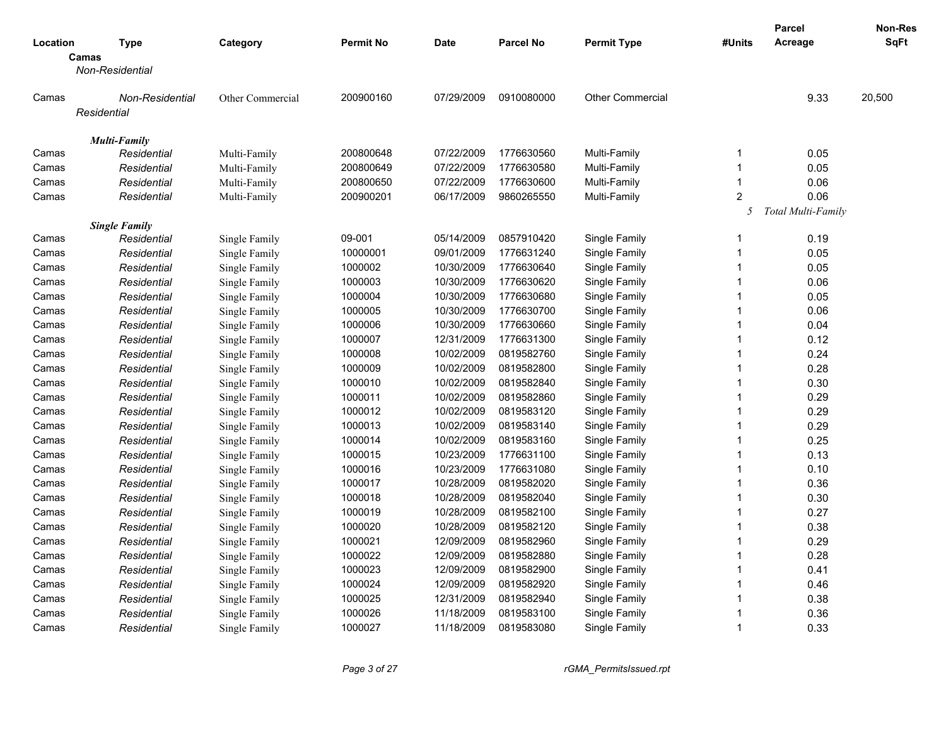|          |                      |                  |                  |             |                  |                         |                | <b>Parcel</b>      | Non-Res |
|----------|----------------------|------------------|------------------|-------------|------------------|-------------------------|----------------|--------------------|---------|
| Location | <b>Type</b>          | Category         | <b>Permit No</b> | <b>Date</b> | <b>Parcel No</b> | <b>Permit Type</b>      | #Units         | Acreage            | SqFt    |
|          | Camas                |                  |                  |             |                  |                         |                |                    |         |
|          | Non-Residential      |                  |                  |             |                  |                         |                |                    |         |
| Camas    | Non-Residential      | Other Commercial | 200900160        | 07/29/2009  | 0910080000       | <b>Other Commercial</b> |                | 9.33               | 20,500  |
|          | Residential          |                  |                  |             |                  |                         |                |                    |         |
|          |                      |                  |                  |             |                  |                         |                |                    |         |
|          | <b>Multi-Family</b>  |                  |                  |             |                  |                         |                |                    |         |
| Camas    | Residential          | Multi-Family     | 200800648        | 07/22/2009  | 1776630560       | Multi-Family            | -1             | 0.05               |         |
| Camas    | Residential          | Multi-Family     | 200800649        | 07/22/2009  | 1776630580       | Multi-Family            | $\overline{1}$ | 0.05               |         |
| Camas    | Residential          | Multi-Family     | 200800650        | 07/22/2009  | 1776630600       | Multi-Family            | $\overline{1}$ | 0.06               |         |
| Camas    | Residential          | Multi-Family     | 200900201        | 06/17/2009  | 9860265550       | Multi-Family            | $\overline{2}$ | 0.06               |         |
|          |                      |                  |                  |             |                  |                         | 5              | Total Multi-Family |         |
|          | <b>Single Family</b> |                  |                  |             |                  |                         |                |                    |         |
| Camas    | Residential          | Single Family    | 09-001           | 05/14/2009  | 0857910420       | Single Family           | $\mathbf{1}$   | 0.19               |         |
| Camas    | Residential          | Single Family    | 10000001         | 09/01/2009  | 1776631240       | Single Family           | $\overline{1}$ | 0.05               |         |
| Camas    | Residential          | Single Family    | 1000002          | 10/30/2009  | 1776630640       | Single Family           | $\overline{1}$ | 0.05               |         |
| Camas    | Residential          | Single Family    | 1000003          | 10/30/2009  | 1776630620       | Single Family           | $\overline{1}$ | 0.06               |         |
| Camas    | Residential          | Single Family    | 1000004          | 10/30/2009  | 1776630680       | Single Family           | $\overline{1}$ | 0.05               |         |
| Camas    | Residential          | Single Family    | 1000005          | 10/30/2009  | 1776630700       | Single Family           | $\overline{1}$ | 0.06               |         |
| Camas    | Residential          | Single Family    | 1000006          | 10/30/2009  | 1776630660       | Single Family           | $\overline{1}$ | 0.04               |         |
| Camas    | Residential          | Single Family    | 1000007          | 12/31/2009  | 1776631300       | Single Family           | $\overline{1}$ | 0.12               |         |
| Camas    | Residential          | Single Family    | 1000008          | 10/02/2009  | 0819582760       | Single Family           | $\overline{1}$ | 0.24               |         |
| Camas    | Residential          | Single Family    | 1000009          | 10/02/2009  | 0819582800       | Single Family           | 1              | 0.28               |         |
| Camas    | Residential          | Single Family    | 1000010          | 10/02/2009  | 0819582840       | Single Family           | $\overline{1}$ | 0.30               |         |
| Camas    | Residential          | Single Family    | 1000011          | 10/02/2009  | 0819582860       | Single Family           | $\overline{1}$ | 0.29               |         |
| Camas    | Residential          | Single Family    | 1000012          | 10/02/2009  | 0819583120       | Single Family           | $\overline{1}$ | 0.29               |         |
| Camas    | Residential          | Single Family    | 1000013          | 10/02/2009  | 0819583140       | Single Family           | $\overline{1}$ | 0.29               |         |
| Camas    | Residential          | Single Family    | 1000014          | 10/02/2009  | 0819583160       | Single Family           | $\overline{1}$ | 0.25               |         |
| Camas    | Residential          | Single Family    | 1000015          | 10/23/2009  | 1776631100       | Single Family           | $\overline{1}$ | 0.13               |         |
| Camas    | Residential          | Single Family    | 1000016          | 10/23/2009  | 1776631080       | Single Family           | $\overline{1}$ | 0.10               |         |
| Camas    | Residential          | Single Family    | 1000017          | 10/28/2009  | 0819582020       | Single Family           | 1              | 0.36               |         |
| Camas    | Residential          | Single Family    | 1000018          | 10/28/2009  | 0819582040       | Single Family           | $\overline{1}$ | 0.30               |         |
| Camas    | Residential          | Single Family    | 1000019          | 10/28/2009  | 0819582100       | Single Family           | $\overline{1}$ | 0.27               |         |
| Camas    | Residential          | Single Family    | 1000020          | 10/28/2009  | 0819582120       | Single Family           | $\overline{1}$ | 0.38               |         |
| Camas    | Residential          | Single Family    | 1000021          | 12/09/2009  | 0819582960       | Single Family           | 1              | 0.29               |         |
| Camas    | Residential          | Single Family    | 1000022          | 12/09/2009  | 0819582880       | Single Family           | $\overline{1}$ | 0.28               |         |
| Camas    | Residential          | Single Family    | 1000023          | 12/09/2009  | 0819582900       | Single Family           | $\overline{1}$ | 0.41               |         |
| Camas    | Residential          | Single Family    | 1000024          | 12/09/2009  | 0819582920       | Single Family           | $\overline{1}$ | 0.46               |         |
| Camas    | Residential          | Single Family    | 1000025          | 12/31/2009  | 0819582940       | Single Family           | 1              | 0.38               |         |
| Camas    | Residential          | Single Family    | 1000026          | 11/18/2009  | 0819583100       | Single Family           | -1             | 0.36               |         |
| Camas    | Residential          | Single Family    | 1000027          | 11/18/2009  | 0819583080       | Single Family           | $\overline{1}$ | 0.33               |         |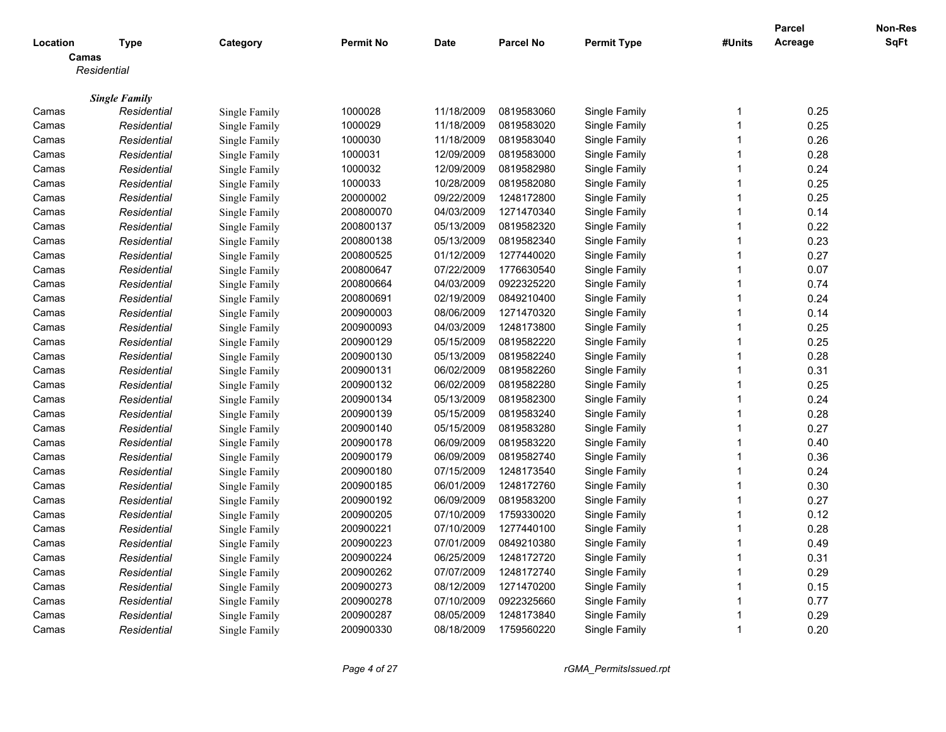|          |                      |               |                  |             |                  |                    |                         | <b>Parcel</b> | Non-Res     |
|----------|----------------------|---------------|------------------|-------------|------------------|--------------------|-------------------------|---------------|-------------|
| Location | <b>Type</b>          | Category      | <b>Permit No</b> | <b>Date</b> | <b>Parcel No</b> | <b>Permit Type</b> | #Units                  | Acreage       | <b>SqFt</b> |
|          | Camas                |               |                  |             |                  |                    |                         |               |             |
|          | Residential          |               |                  |             |                  |                    |                         |               |             |
|          | <b>Single Family</b> |               |                  |             |                  |                    |                         |               |             |
| Camas    | Residential          | Single Family | 1000028          | 11/18/2009  | 0819583060       | Single Family      | -1                      | 0.25          |             |
| Camas    | Residential          | Single Family | 1000029          | 11/18/2009  | 0819583020       | Single Family      | -1                      | 0.25          |             |
| Camas    | Residential          | Single Family | 1000030          | 11/18/2009  | 0819583040       | Single Family      | $\overline{1}$          | 0.26          |             |
| Camas    | Residential          | Single Family | 1000031          | 12/09/2009  | 0819583000       | Single Family      | 1                       | 0.28          |             |
| Camas    | Residential          | Single Family | 1000032          | 12/09/2009  | 0819582980       | Single Family      | $\mathbf{1}$            | 0.24          |             |
| Camas    | Residential          | Single Family | 1000033          | 10/28/2009  | 0819582080       | Single Family      | $\overline{1}$          | 0.25          |             |
| Camas    | Residential          | Single Family | 20000002         | 09/22/2009  | 1248172800       | Single Family      | $\mathbf{1}$            | 0.25          |             |
| Camas    | Residential          | Single Family | 200800070        | 04/03/2009  | 1271470340       | Single Family      | 1                       | 0.14          |             |
| Camas    | Residential          | Single Family | 200800137        | 05/13/2009  | 0819582320       | Single Family      | $\overline{1}$          | 0.22          |             |
| Camas    | Residential          | Single Family | 200800138        | 05/13/2009  | 0819582340       | Single Family      | $\overline{1}$          | 0.23          |             |
| Camas    | Residential          | Single Family | 200800525        | 01/12/2009  | 1277440020       | Single Family      | $\mathbf{1}$            | 0.27          |             |
| Camas    | Residential          | Single Family | 200800647        | 07/22/2009  | 1776630540       | Single Family      | 1                       | 0.07          |             |
| Camas    | Residential          | Single Family | 200800664        | 04/03/2009  | 0922325220       | Single Family      | $\mathbf{1}$            | 0.74          |             |
| Camas    | Residential          | Single Family | 200800691        | 02/19/2009  | 0849210400       | Single Family      | $\overline{1}$          | 0.24          |             |
| Camas    | Residential          | Single Family | 200900003        | 08/06/2009  | 1271470320       | Single Family      | -1                      | 0.14          |             |
| Camas    | Residential          | Single Family | 200900093        | 04/03/2009  | 1248173800       | Single Family      | $\mathbf{1}$            | 0.25          |             |
| Camas    | Residential          | Single Family | 200900129        | 05/15/2009  | 0819582220       | Single Family      | $\overline{1}$          | 0.25          |             |
| Camas    | Residential          | Single Family | 200900130        | 05/13/2009  | 0819582240       | Single Family      | $\overline{1}$          | 0.28          |             |
| Camas    | Residential          | Single Family | 200900131        | 06/02/2009  | 0819582260       | Single Family      | $\overline{\mathbf{1}}$ | 0.31          |             |
| Camas    | Residential          | Single Family | 200900132        | 06/02/2009  | 0819582280       | Single Family      | $\mathbf{1}$            | 0.25          |             |
| Camas    | Residential          | Single Family | 200900134        | 05/13/2009  | 0819582300       | Single Family      | $\overline{\mathbf{1}}$ | 0.24          |             |
| Camas    | Residential          | Single Family | 200900139        | 05/15/2009  | 0819583240       | Single Family      | $\overline{1}$          | 0.28          |             |
| Camas    | Residential          | Single Family | 200900140        | 05/15/2009  | 0819583280       | Single Family      | -1                      | 0.27          |             |
| Camas    | Residential          | Single Family | 200900178        | 06/09/2009  | 0819583220       | Single Family      | $\overline{1}$          | 0.40          |             |
| Camas    | Residential          | Single Family | 200900179        | 06/09/2009  | 0819582740       | Single Family      | $\overline{\mathbf{1}}$ | 0.36          |             |
| Camas    | Residential          | Single Family | 200900180        | 07/15/2009  | 1248173540       | Single Family      | $\overline{\mathbf{1}}$ | 0.24          |             |
| Camas    | Residential          | Single Family | 200900185        | 06/01/2009  | 1248172760       | Single Family      | 1                       | 0.30          |             |
| Camas    | Residential          | Single Family | 200900192        | 06/09/2009  | 0819583200       | Single Family      | $\mathbf{1}$            | 0.27          |             |
| Camas    | Residential          | Single Family | 200900205        | 07/10/2009  | 1759330020       | Single Family      | -1                      | 0.12          |             |
| Camas    | Residential          | Single Family | 200900221        | 07/10/2009  | 1277440100       | Single Family      | $\overline{\mathbf{1}}$ | 0.28          |             |
| Camas    | Residential          | Single Family | 200900223        | 07/01/2009  | 0849210380       | Single Family      | 1                       | 0.49          |             |
| Camas    | Residential          | Single Family | 200900224        | 06/25/2009  | 1248172720       | Single Family      | $\overline{1}$          | 0.31          |             |
| Camas    | Residential          | Single Family | 200900262        | 07/07/2009  | 1248172740       | Single Family      | 1                       | 0.29          |             |
| Camas    | Residential          | Single Family | 200900273        | 08/12/2009  | 1271470200       | Single Family      | $\overline{\mathbf{1}}$ | 0.15          |             |
| Camas    | Residential          | Single Family | 200900278        | 07/10/2009  | 0922325660       | Single Family      | $\overline{1}$          | 0.77          |             |
| Camas    | Residential          | Single Family | 200900287        | 08/05/2009  | 1248173840       | Single Family      | $\overline{1}$          | 0.29          |             |
| Camas    | Residential          | Single Family | 200900330        | 08/18/2009  | 1759560220       | Single Family      | $\overline{1}$          | 0.20          |             |
|          |                      |               |                  |             |                  |                    |                         |               |             |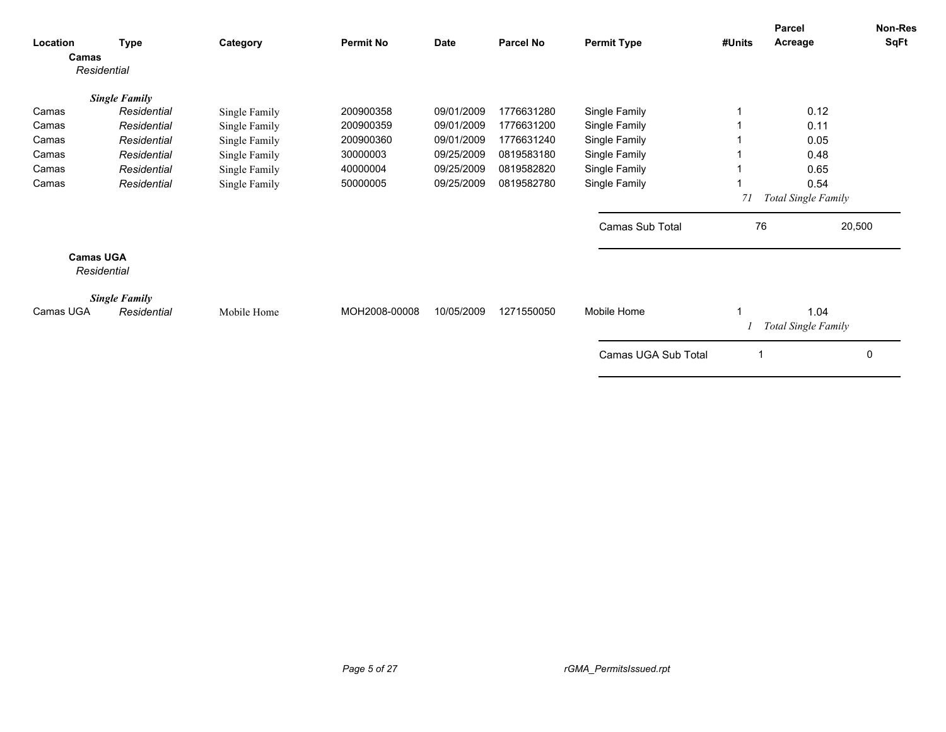| Location<br>Camas | Type<br>Residential  | Category      | <b>Permit No</b> | <b>Date</b> | <b>Parcel No</b> | <b>Permit Type</b>  | #Units | Parcel<br>Acreage                  | Non-Res<br>SqFt |
|-------------------|----------------------|---------------|------------------|-------------|------------------|---------------------|--------|------------------------------------|-----------------|
|                   |                      |               |                  |             |                  |                     |        |                                    |                 |
|                   | <b>Single Family</b> |               |                  |             |                  |                     |        |                                    |                 |
| Camas             | Residential          | Single Family | 200900358        | 09/01/2009  | 1776631280       | Single Family       |        | 0.12                               |                 |
| Camas             | Residential          | Single Family | 200900359        | 09/01/2009  | 1776631200       | Single Family       |        | 0.11                               |                 |
| Camas             | Residential          | Single Family | 200900360        | 09/01/2009  | 1776631240       | Single Family       |        | 0.05                               |                 |
| Camas             | Residential          | Single Family | 30000003         | 09/25/2009  | 0819583180       | Single Family       |        | 0.48                               |                 |
| Camas             | Residential          | Single Family | 40000004         | 09/25/2009  | 0819582820       | Single Family       |        | 0.65                               |                 |
| Camas             | Residential          | Single Family | 50000005         | 09/25/2009  | 0819582780       | Single Family       |        | 0.54                               |                 |
|                   |                      |               |                  |             |                  |                     | 71     | Total Single Family                |                 |
|                   |                      |               |                  |             |                  | Camas Sub Total     | 76     |                                    | 20,500          |
| <b>Camas UGA</b>  | Residential          |               |                  |             |                  |                     |        |                                    |                 |
| Camas UGA         | <b>Single Family</b> |               | MOH2008-00008    | 10/05/2009  | 1271550050       | Mobile Home         |        |                                    |                 |
|                   | Residential          | Mobile Home   |                  |             |                  |                     |        | 1.04<br><b>Total Single Family</b> |                 |
|                   |                      |               |                  |             |                  | Camas UGA Sub Total |        |                                    | 0               |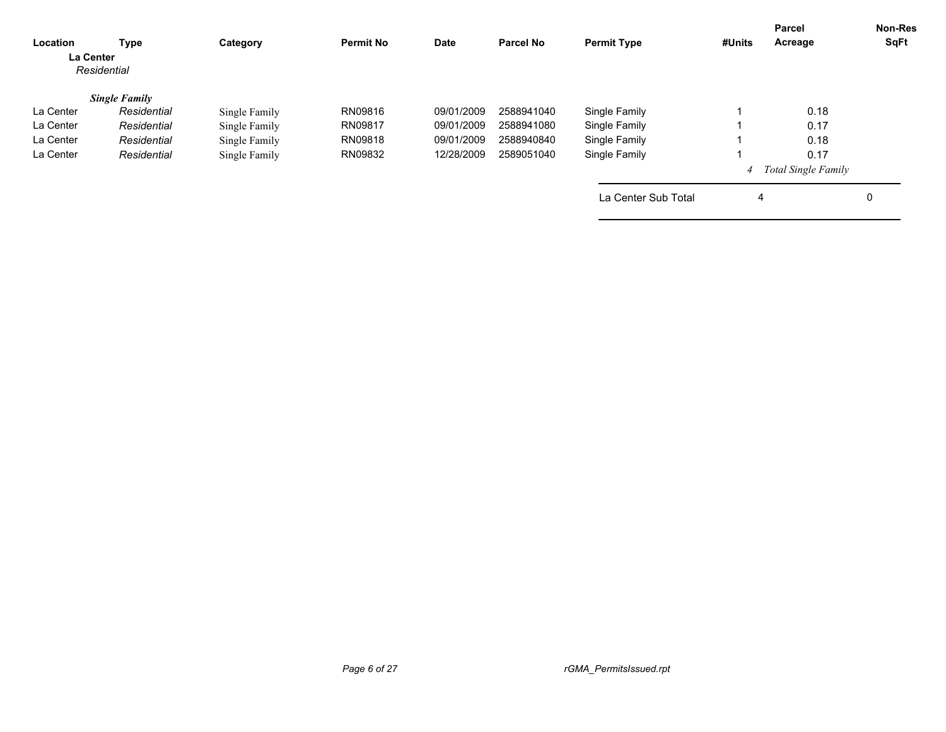| Location<br>La Center | Type<br>Residential  | Category      | <b>Permit No</b> | Date       | <b>Parcel No</b> | <b>Permit Type</b>  | #Units         | Parcel<br>Acreage          | <b>Non-Res</b><br>SqFt |
|-----------------------|----------------------|---------------|------------------|------------|------------------|---------------------|----------------|----------------------------|------------------------|
|                       | <b>Single Family</b> |               |                  |            |                  |                     |                |                            |                        |
| La Center             | Residential          | Single Family | RN09816          | 09/01/2009 | 2588941040       | Single Family       |                | 0.18                       |                        |
| La Center             | Residential          | Single Family | RN09817          | 09/01/2009 | 2588941080       | Single Family       |                | 0.17                       |                        |
| La Center             | Residential          | Single Family | RN09818          | 09/01/2009 | 2588940840       | Single Family       |                | 0.18                       |                        |
| La Center             | Residential          | Single Family | RN09832          | 12/28/2009 | 2589051040       | Single Family       |                | 0.17                       |                        |
|                       |                      |               |                  |            |                  |                     | $\overline{4}$ | <b>Total Single Family</b> |                        |
|                       |                      |               |                  |            |                  | La Center Sub Total | 4              |                            | 0                      |
|                       |                      |               |                  |            |                  |                     |                |                            |                        |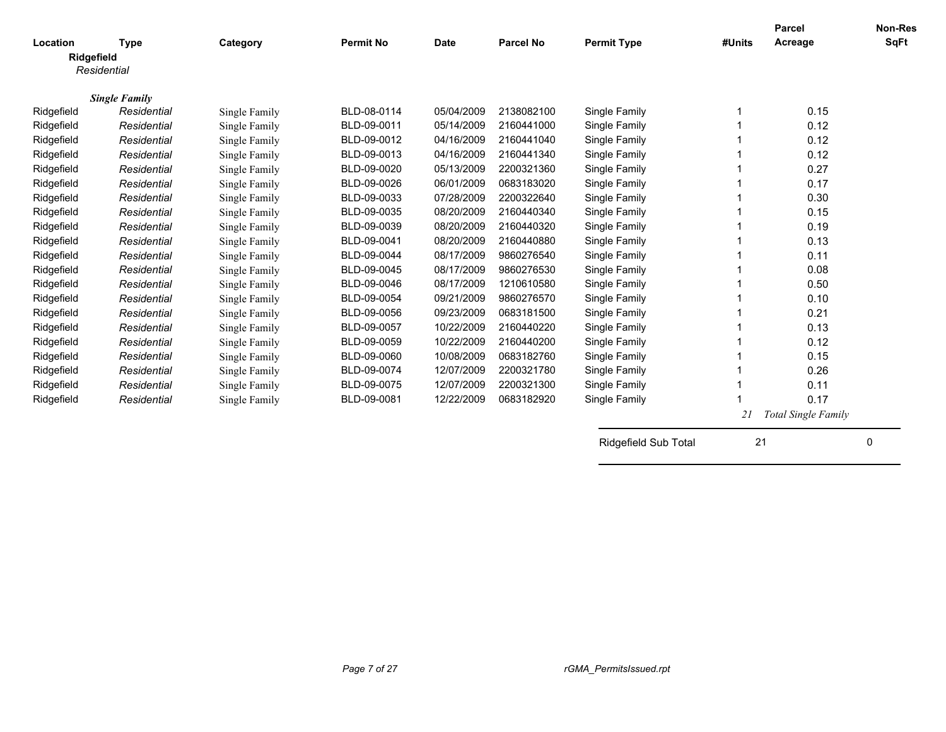| Location   | <b>Type</b>          | Category      | <b>Permit No</b> | <b>Date</b> | <b>Parcel No</b> | <b>Permit Type</b>   | #Units | <b>Parcel</b><br>Acreage   | <b>Non-Res</b><br><b>SqFt</b> |
|------------|----------------------|---------------|------------------|-------------|------------------|----------------------|--------|----------------------------|-------------------------------|
|            | Ridgefield           |               |                  |             |                  |                      |        |                            |                               |
|            | Residential          |               |                  |             |                  |                      |        |                            |                               |
|            |                      |               |                  |             |                  |                      |        |                            |                               |
|            | <b>Single Family</b> |               |                  |             |                  |                      |        |                            |                               |
| Ridgefield | Residential          | Single Family | BLD-08-0114      | 05/04/2009  | 2138082100       | Single Family        |        | 0.15                       |                               |
| Ridgefield | Residential          | Single Family | BLD-09-0011      | 05/14/2009  | 2160441000       | Single Family        |        | 0.12                       |                               |
| Ridgefield | Residential          | Single Family | BLD-09-0012      | 04/16/2009  | 2160441040       | Single Family        |        | 0.12                       |                               |
| Ridgefield | Residential          | Single Family | BLD-09-0013      | 04/16/2009  | 2160441340       | Single Family        |        | 0.12                       |                               |
| Ridgefield | Residential          | Single Family | BLD-09-0020      | 05/13/2009  | 2200321360       | Single Family        |        | 0.27                       |                               |
| Ridgefield | Residential          | Single Family | BLD-09-0026      | 06/01/2009  | 0683183020       | Single Family        |        | 0.17                       |                               |
| Ridgefield | Residential          | Single Family | BLD-09-0033      | 07/28/2009  | 2200322640       | Single Family        |        | 0.30                       |                               |
| Ridgefield | Residential          | Single Family | BLD-09-0035      | 08/20/2009  | 2160440340       | Single Family        |        | 0.15                       |                               |
| Ridgefield | Residential          | Single Family | BLD-09-0039      | 08/20/2009  | 2160440320       | Single Family        |        | 0.19                       |                               |
| Ridgefield | Residential          | Single Family | BLD-09-0041      | 08/20/2009  | 2160440880       | Single Family        |        | 0.13                       |                               |
| Ridgefield | Residential          | Single Family | BLD-09-0044      | 08/17/2009  | 9860276540       | Single Family        |        | 0.11                       |                               |
| Ridgefield | Residential          | Single Family | BLD-09-0045      | 08/17/2009  | 9860276530       | Single Family        |        | 0.08                       |                               |
| Ridgefield | Residential          | Single Family | BLD-09-0046      | 08/17/2009  | 1210610580       | Single Family        |        | 0.50                       |                               |
| Ridgefield | Residential          | Single Family | BLD-09-0054      | 09/21/2009  | 9860276570       | Single Family        |        | 0.10                       |                               |
| Ridgefield | Residential          | Single Family | BLD-09-0056      | 09/23/2009  | 0683181500       | Single Family        |        | 0.21                       |                               |
| Ridgefield | Residential          | Single Family | BLD-09-0057      | 10/22/2009  | 2160440220       | Single Family        |        | 0.13                       |                               |
| Ridgefield | Residential          | Single Family | BLD-09-0059      | 10/22/2009  | 2160440200       | Single Family        |        | 0.12                       |                               |
| Ridgefield | Residential          | Single Family | BLD-09-0060      | 10/08/2009  | 0683182760       | Single Family        |        | 0.15                       |                               |
| Ridgefield | Residential          | Single Family | BLD-09-0074      | 12/07/2009  | 2200321780       | Single Family        |        | 0.26                       |                               |
| Ridgefield | Residential          | Single Family | BLD-09-0075      | 12/07/2009  | 2200321300       | Single Family        |        | 0.11                       |                               |
| Ridgefield | Residential          | Single Family | BLD-09-0081      | 12/22/2009  | 0683182920       | Single Family        |        | 0.17                       |                               |
|            |                      |               |                  |             |                  |                      | 21     | <b>Total Single Family</b> |                               |
|            |                      |               |                  |             |                  | Ridgefield Sub Total | 21     |                            | 0                             |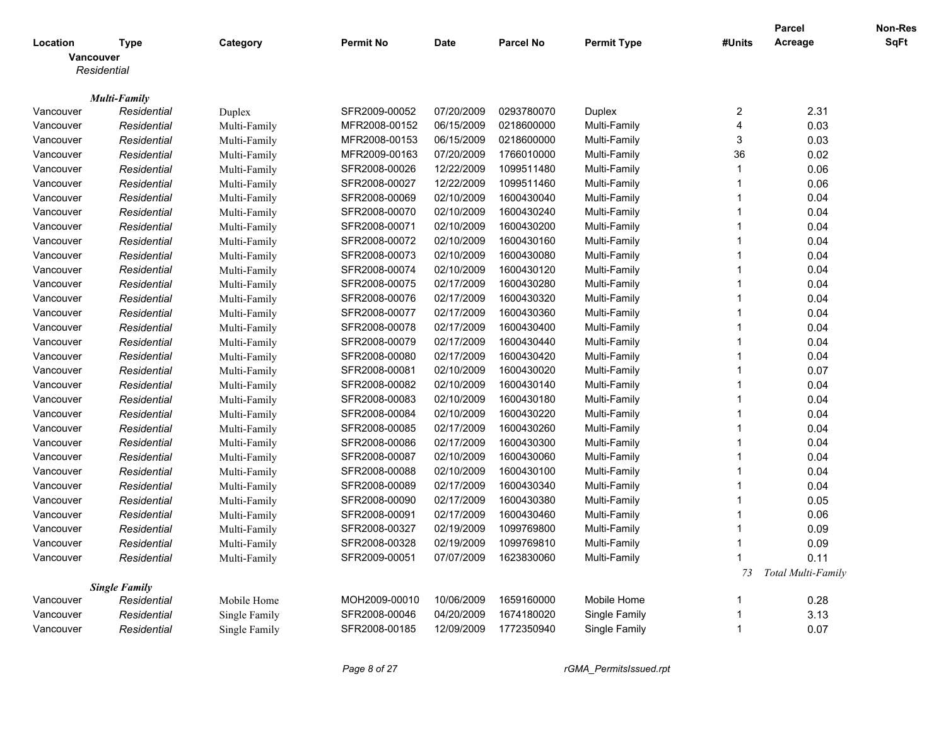|           |                      |               |                  |             |                  |                    |                         | <b>Parcel</b>      | Non-Res |
|-----------|----------------------|---------------|------------------|-------------|------------------|--------------------|-------------------------|--------------------|---------|
| Location  | <b>Type</b>          | Category      | <b>Permit No</b> | <b>Date</b> | <b>Parcel No</b> | <b>Permit Type</b> | #Units                  | Acreage            | SqFt    |
|           | <b>Vancouver</b>     |               |                  |             |                  |                    |                         |                    |         |
|           | Residential          |               |                  |             |                  |                    |                         |                    |         |
|           |                      |               |                  |             |                  |                    |                         |                    |         |
|           | <b>Multi-Family</b>  |               |                  |             |                  |                    |                         |                    |         |
| Vancouver | Residential          | Duplex        | SFR2009-00052    | 07/20/2009  | 0293780070       | <b>Duplex</b>      | 2                       | 2.31               |         |
| Vancouver | Residential          | Multi-Family  | MFR2008-00152    | 06/15/2009  | 0218600000       | Multi-Family       | $\overline{4}$          | 0.03               |         |
| Vancouver | Residential          | Multi-Family  | MFR2008-00153    | 06/15/2009  | 0218600000       | Multi-Family       | 3                       | 0.03               |         |
| Vancouver | Residential          | Multi-Family  | MFR2009-00163    | 07/20/2009  | 1766010000       | Multi-Family       | 36                      | 0.02               |         |
| Vancouver | Residential          | Multi-Family  | SFR2008-00026    | 12/22/2009  | 1099511480       | Multi-Family       | $\overline{1}$          | 0.06               |         |
| Vancouver | Residential          | Multi-Family  | SFR2008-00027    | 12/22/2009  | 1099511460       | Multi-Family       | $\overline{1}$          | 0.06               |         |
| Vancouver | Residential          | Multi-Family  | SFR2008-00069    | 02/10/2009  | 1600430040       | Multi-Family       | $\overline{\mathbf{1}}$ | 0.04               |         |
| Vancouver | Residential          | Multi-Family  | SFR2008-00070    | 02/10/2009  | 1600430240       | Multi-Family       | $\overline{1}$          | 0.04               |         |
| Vancouver | Residential          | Multi-Family  | SFR2008-00071    | 02/10/2009  | 1600430200       | Multi-Family       | -1                      | 0.04               |         |
| Vancouver | Residential          | Multi-Family  | SFR2008-00072    | 02/10/2009  | 1600430160       | Multi-Family       | -1                      | 0.04               |         |
| Vancouver | Residential          | Multi-Family  | SFR2008-00073    | 02/10/2009  | 1600430080       | Multi-Family       | $\overline{1}$          | 0.04               |         |
| Vancouver | Residential          | Multi-Family  | SFR2008-00074    | 02/10/2009  | 1600430120       | Multi-Family       | $\overline{1}$          | 0.04               |         |
| Vancouver | Residential          | Multi-Family  | SFR2008-00075    | 02/17/2009  | 1600430280       | Multi-Family       | $\overline{1}$          | 0.04               |         |
| Vancouver | Residential          | Multi-Family  | SFR2008-00076    | 02/17/2009  | 1600430320       | Multi-Family       | -1                      | 0.04               |         |
| Vancouver | Residential          | Multi-Family  | SFR2008-00077    | 02/17/2009  | 1600430360       | Multi-Family       | $\overline{1}$          | 0.04               |         |
| Vancouver | Residential          | Multi-Family  | SFR2008-00078    | 02/17/2009  | 1600430400       | Multi-Family       | $\overline{1}$          | 0.04               |         |
| Vancouver | Residential          | Multi-Family  | SFR2008-00079    | 02/17/2009  | 1600430440       | Multi-Family       | -1                      | 0.04               |         |
| Vancouver | Residential          | Multi-Family  | SFR2008-00080    | 02/17/2009  | 1600430420       | Multi-Family       | $\overline{1}$          | 0.04               |         |
| Vancouver | Residential          | Multi-Family  | SFR2008-00081    | 02/10/2009  | 1600430020       | Multi-Family       | $\overline{1}$          | 0.07               |         |
| Vancouver | Residential          | Multi-Family  | SFR2008-00082    | 02/10/2009  | 1600430140       | Multi-Family       | $\overline{1}$          | 0.04               |         |
| Vancouver | Residential          | Multi-Family  | SFR2008-00083    | 02/10/2009  | 1600430180       | Multi-Family       | $\overline{1}$          | 0.04               |         |
| Vancouver | Residential          | Multi-Family  | SFR2008-00084    | 02/10/2009  | 1600430220       | Multi-Family       | $\overline{1}$          | 0.04               |         |
| Vancouver | Residential          | Multi-Family  | SFR2008-00085    | 02/17/2009  | 1600430260       | Multi-Family       | $\overline{\mathbf{1}}$ | 0.04               |         |
| Vancouver | Residential          | Multi-Family  | SFR2008-00086    | 02/17/2009  | 1600430300       | Multi-Family       | $\overline{1}$          | 0.04               |         |
| Vancouver | Residential          | Multi-Family  | SFR2008-00087    | 02/10/2009  | 1600430060       | Multi-Family       | -1                      | 0.04               |         |
| Vancouver | Residential          | Multi-Family  | SFR2008-00088    | 02/10/2009  | 1600430100       | Multi-Family       | -1                      | 0.04               |         |
| Vancouver | Residential          | Multi-Family  | SFR2008-00089    | 02/17/2009  | 1600430340       | Multi-Family       | $\overline{1}$          | 0.04               |         |
| Vancouver | Residential          | Multi-Family  | SFR2008-00090    | 02/17/2009  | 1600430380       | Multi-Family       | $\overline{1}$          | 0.05               |         |
| Vancouver | Residential          | Multi-Family  | SFR2008-00091    | 02/17/2009  | 1600430460       | Multi-Family       | $\overline{1}$          | 0.06               |         |
| Vancouver | Residential          | Multi-Family  | SFR2008-00327    | 02/19/2009  | 1099769800       | Multi-Family       | $\overline{1}$          | 0.09               |         |
| Vancouver | Residential          | Multi-Family  | SFR2008-00328    | 02/19/2009  | 1099769810       | Multi-Family       | $\overline{1}$          | 0.09               |         |
| Vancouver | Residential          | Multi-Family  | SFR2009-00051    | 07/07/2009  | 1623830060       | Multi-Family       | 1                       | 0.11               |         |
|           |                      |               |                  |             |                  |                    | 73                      | Total Multi-Family |         |
|           | <b>Single Family</b> |               |                  |             |                  |                    |                         |                    |         |
| Vancouver | Residential          | Mobile Home   | MOH2009-00010    | 10/06/2009  | 1659160000       | Mobile Home        | -1                      | 0.28               |         |
| Vancouver | Residential          | Single Family | SFR2008-00046    | 04/20/2009  | 1674180020       | Single Family      | $\overline{\mathbf{1}}$ | 3.13               |         |
| Vancouver | Residential          | Single Family | SFR2008-00185    | 12/09/2009  | 1772350940       | Single Family      | -1                      | 0.07               |         |
|           |                      |               |                  |             |                  |                    |                         |                    |         |

*Page 8 of 27 rGMA\_PermitsIssued.rpt*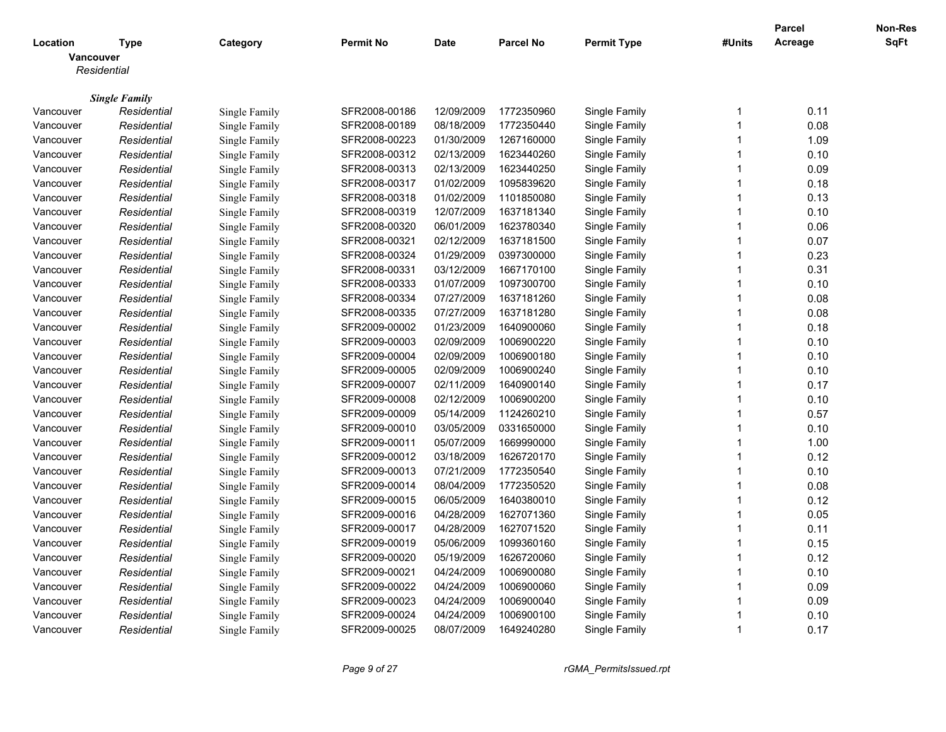|           |                      |                      |                  |             |                  |                    |                         | <b>Parcel</b> | Non-Res     |
|-----------|----------------------|----------------------|------------------|-------------|------------------|--------------------|-------------------------|---------------|-------------|
| Location  | Type                 | Category             | <b>Permit No</b> | <b>Date</b> | <b>Parcel No</b> | <b>Permit Type</b> | #Units                  | Acreage       | <b>SqFt</b> |
|           | Vancouver            |                      |                  |             |                  |                    |                         |               |             |
|           | Residential          |                      |                  |             |                  |                    |                         |               |             |
|           |                      |                      |                  |             |                  |                    |                         |               |             |
|           | <b>Single Family</b> |                      |                  |             |                  |                    | $\mathbf 1$             |               |             |
| Vancouver | Residential          | Single Family        | SFR2008-00186    | 12/09/2009  | 1772350960       | Single Family      | 1                       | 0.11          |             |
| Vancouver | Residential          | Single Family        | SFR2008-00189    | 08/18/2009  | 1772350440       | Single Family      |                         | 0.08          |             |
| Vancouver | Residential          | Single Family        | SFR2008-00223    | 01/30/2009  | 1267160000       | Single Family      | $\overline{1}$          | 1.09          |             |
| Vancouver | Residential          | Single Family        | SFR2008-00312    | 02/13/2009  | 1623440260       | Single Family      | $\overline{1}$          | 0.10          |             |
| Vancouver | Residential          | Single Family        | SFR2008-00313    | 02/13/2009  | 1623440250       | Single Family      | $\overline{1}$          | 0.09          |             |
| Vancouver | Residential          | Single Family        | SFR2008-00317    | 01/02/2009  | 1095839620       | Single Family      | $\overline{1}$          | 0.18          |             |
| Vancouver | Residential          | Single Family        | SFR2008-00318    | 01/02/2009  | 1101850080       | Single Family      | $\overline{1}$          | 0.13          |             |
| Vancouver | Residential          | Single Family        | SFR2008-00319    | 12/07/2009  | 1637181340       | Single Family      | $\overline{1}$          | 0.10          |             |
| Vancouver | Residential          | Single Family        | SFR2008-00320    | 06/01/2009  | 1623780340       | Single Family      | -1                      | 0.06          |             |
| Vancouver | Residential          | <b>Single Family</b> | SFR2008-00321    | 02/12/2009  | 1637181500       | Single Family      | $\overline{1}$          | 0.07          |             |
| Vancouver | Residential          | Single Family        | SFR2008-00324    | 01/29/2009  | 0397300000       | Single Family      | $\overline{1}$          | 0.23          |             |
| Vancouver | Residential          | Single Family        | SFR2008-00331    | 03/12/2009  | 1667170100       | Single Family      | $\overline{1}$          | 0.31          |             |
| Vancouver | Residential          | Single Family        | SFR2008-00333    | 01/07/2009  | 1097300700       | Single Family      | $\overline{\mathbf{1}}$ | 0.10          |             |
| Vancouver | Residential          | Single Family        | SFR2008-00334    | 07/27/2009  | 1637181260       | Single Family      | $\overline{1}$          | 0.08          |             |
| Vancouver | Residential          | Single Family        | SFR2008-00335    | 07/27/2009  | 1637181280       | Single Family      | $\overline{1}$          | 0.08          |             |
| Vancouver | Residential          | Single Family        | SFR2009-00002    | 01/23/2009  | 1640900060       | Single Family      | $\overline{1}$          | 0.18          |             |
| Vancouver | Residential          | Single Family        | SFR2009-00003    | 02/09/2009  | 1006900220       | Single Family      | $\overline{\mathbf{1}}$ | 0.10          |             |
| Vancouver | Residential          | Single Family        | SFR2009-00004    | 02/09/2009  | 1006900180       | Single Family      | $\overline{1}$          | 0.10          |             |
| Vancouver | Residential          | Single Family        | SFR2009-00005    | 02/09/2009  | 1006900240       | Single Family      | $\overline{1}$          | 0.10          |             |
| Vancouver | Residential          | Single Family        | SFR2009-00007    | 02/11/2009  | 1640900140       | Single Family      | $\overline{1}$          | 0.17          |             |
| Vancouver | Residential          | Single Family        | SFR2009-00008    | 02/12/2009  | 1006900200       | Single Family      | $\overline{\mathbf{1}}$ | 0.10          |             |
| Vancouver | Residential          | Single Family        | SFR2009-00009    | 05/14/2009  | 1124260210       | Single Family      | $\overline{1}$          | 0.57          |             |
| Vancouver | Residential          | Single Family        | SFR2009-00010    | 03/05/2009  | 0331650000       | Single Family      | 1                       | 0.10          |             |
| Vancouver | Residential          | Single Family        | SFR2009-00011    | 05/07/2009  | 1669990000       | Single Family      | $\overline{1}$          | 1.00          |             |
| Vancouver | Residential          | <b>Single Family</b> | SFR2009-00012    | 03/18/2009  | 1626720170       | Single Family      | $\overline{\mathbf{1}}$ | 0.12          |             |
| Vancouver | Residential          | Single Family        | SFR2009-00013    | 07/21/2009  | 1772350540       | Single Family      | $\overline{1}$          | 0.10          |             |
| Vancouver | Residential          | Single Family        | SFR2009-00014    | 08/04/2009  | 1772350520       | Single Family      | 1                       | 0.08          |             |
| Vancouver | Residential          | Single Family        | SFR2009-00015    | 06/05/2009  | 1640380010       | Single Family      | $\overline{1}$          | 0.12          |             |
| Vancouver | Residential          | Single Family        | SFR2009-00016    | 04/28/2009  | 1627071360       | Single Family      | -1                      | 0.05          |             |
| Vancouver | Residential          | Single Family        | SFR2009-00017    | 04/28/2009  | 1627071520       | Single Family      | $\overline{1}$          | 0.11          |             |
| Vancouver | Residential          | Single Family        | SFR2009-00019    | 05/06/2009  | 1099360160       | Single Family      | $\overline{1}$          | 0.15          |             |
| Vancouver | Residential          | Single Family        | SFR2009-00020    | 05/19/2009  | 1626720060       | Single Family      | $\overline{1}$          | 0.12          |             |
| Vancouver | Residential          | Single Family        | SFR2009-00021    | 04/24/2009  | 1006900080       | Single Family      | $\overline{1}$          | 0.10          |             |
| Vancouver | Residential          | Single Family        | SFR2009-00022    | 04/24/2009  | 1006900060       | Single Family      | $\overline{1}$          | 0.09          |             |
| Vancouver | Residential          | Single Family        | SFR2009-00023    | 04/24/2009  | 1006900040       | Single Family      | 1                       | 0.09          |             |
| Vancouver | Residential          | Single Family        | SFR2009-00024    | 04/24/2009  | 1006900100       | Single Family      | $\overline{\mathbf{1}}$ | 0.10          |             |
| Vancouver | Residential          | Single Family        | SFR2009-00025    | 08/07/2009  | 1649240280       | Single Family      | $\overline{1}$          | 0.17          |             |
|           |                      |                      |                  |             |                  |                    |                         |               |             |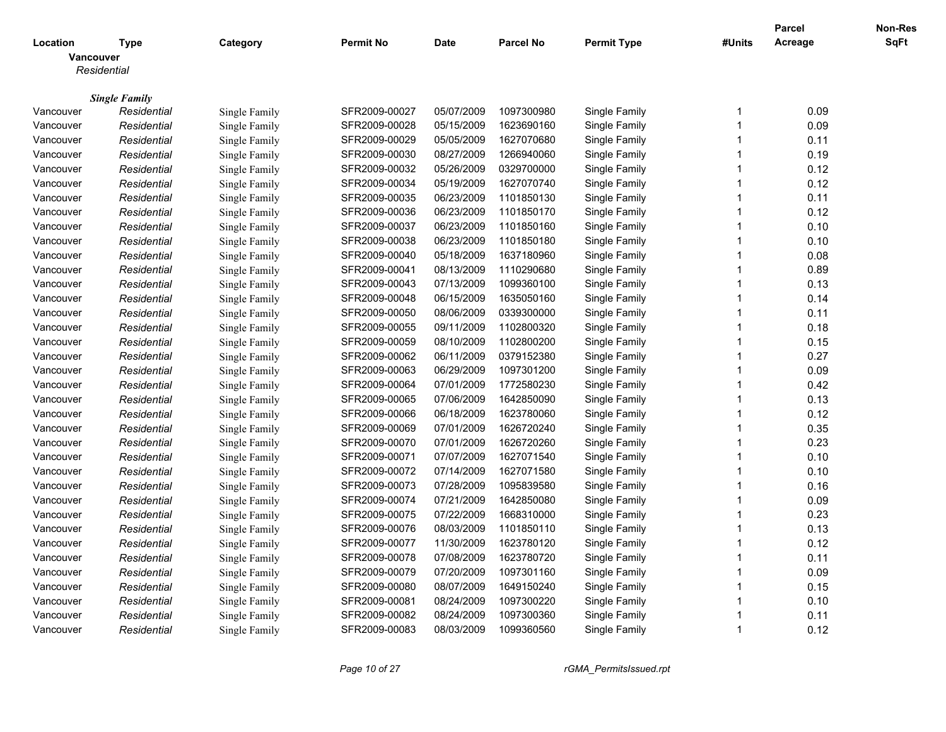|           |                      |                      |                  |             |                  |                    |                         | <b>Parcel</b> | Non-Res     |
|-----------|----------------------|----------------------|------------------|-------------|------------------|--------------------|-------------------------|---------------|-------------|
| Location  | Type                 | Category             | <b>Permit No</b> | <b>Date</b> | <b>Parcel No</b> | <b>Permit Type</b> | #Units                  | Acreage       | <b>SqFt</b> |
|           | Vancouver            |                      |                  |             |                  |                    |                         |               |             |
|           | Residential          |                      |                  |             |                  |                    |                         |               |             |
|           |                      |                      |                  |             |                  |                    |                         |               |             |
|           | <b>Single Family</b> |                      |                  |             |                  |                    | $\mathbf 1$             |               |             |
| Vancouver | Residential          | Single Family        | SFR2009-00027    | 05/07/2009  | 1097300980       | Single Family      | 1                       | 0.09          |             |
| Vancouver | Residential          | Single Family        | SFR2009-00028    | 05/15/2009  | 1623690160       | Single Family      |                         | 0.09          |             |
| Vancouver | Residential          | Single Family        | SFR2009-00029    | 05/05/2009  | 1627070680       | Single Family      | $\overline{1}$          | 0.11          |             |
| Vancouver | Residential          | Single Family        | SFR2009-00030    | 08/27/2009  | 1266940060       | Single Family      | $\overline{1}$          | 0.19          |             |
| Vancouver | Residential          | Single Family        | SFR2009-00032    | 05/26/2009  | 0329700000       | Single Family      | $\overline{1}$          | 0.12          |             |
| Vancouver | Residential          | Single Family        | SFR2009-00034    | 05/19/2009  | 1627070740       | Single Family      | $\overline{1}$          | 0.12          |             |
| Vancouver | Residential          | Single Family        | SFR2009-00035    | 06/23/2009  | 1101850130       | Single Family      | $\overline{1}$          | 0.11          |             |
| Vancouver | Residential          | Single Family        | SFR2009-00036    | 06/23/2009  | 1101850170       | Single Family      | $\overline{1}$          | 0.12          |             |
| Vancouver | Residential          | Single Family        | SFR2009-00037    | 06/23/2009  | 1101850160       | Single Family      | -1                      | 0.10          |             |
| Vancouver | Residential          | <b>Single Family</b> | SFR2009-00038    | 06/23/2009  | 1101850180       | Single Family      | $\overline{1}$          | 0.10          |             |
| Vancouver | Residential          | Single Family        | SFR2009-00040    | 05/18/2009  | 1637180960       | Single Family      | $\overline{1}$          | 0.08          |             |
| Vancouver | Residential          | Single Family        | SFR2009-00041    | 08/13/2009  | 1110290680       | Single Family      | $\overline{1}$          | 0.89          |             |
| Vancouver | Residential          | Single Family        | SFR2009-00043    | 07/13/2009  | 1099360100       | Single Family      | $\overline{\mathbf{1}}$ | 0.13          |             |
| Vancouver | Residential          | Single Family        | SFR2009-00048    | 06/15/2009  | 1635050160       | Single Family      | $\overline{1}$          | 0.14          |             |
| Vancouver | Residential          | Single Family        | SFR2009-00050    | 08/06/2009  | 0339300000       | Single Family      | $\overline{1}$          | 0.11          |             |
| Vancouver | Residential          | Single Family        | SFR2009-00055    | 09/11/2009  | 1102800320       | Single Family      | $\overline{1}$          | 0.18          |             |
| Vancouver | Residential          | Single Family        | SFR2009-00059    | 08/10/2009  | 1102800200       | Single Family      | $\overline{\mathbf{1}}$ | 0.15          |             |
| Vancouver | Residential          | Single Family        | SFR2009-00062    | 06/11/2009  | 0379152380       | Single Family      | $\overline{1}$          | 0.27          |             |
| Vancouver | Residential          | Single Family        | SFR2009-00063    | 06/29/2009  | 1097301200       | Single Family      | $\overline{1}$          | 0.09          |             |
| Vancouver | Residential          | Single Family        | SFR2009-00064    | 07/01/2009  | 1772580230       | Single Family      | $\overline{1}$          | 0.42          |             |
| Vancouver | Residential          | Single Family        | SFR2009-00065    | 07/06/2009  | 1642850090       | Single Family      | $\overline{\mathbf{1}}$ | 0.13          |             |
| Vancouver | Residential          | Single Family        | SFR2009-00066    | 06/18/2009  | 1623780060       | Single Family      | $\overline{1}$          | 0.12          |             |
| Vancouver | Residential          | Single Family        | SFR2009-00069    | 07/01/2009  | 1626720240       | Single Family      | 1                       | 0.35          |             |
| Vancouver | Residential          | Single Family        | SFR2009-00070    | 07/01/2009  | 1626720260       | Single Family      | $\overline{1}$          | 0.23          |             |
| Vancouver | Residential          | <b>Single Family</b> | SFR2009-00071    | 07/07/2009  | 1627071540       | Single Family      | $\overline{\mathbf{1}}$ | 0.10          |             |
| Vancouver | Residential          | Single Family        | SFR2009-00072    | 07/14/2009  | 1627071580       | Single Family      | $\overline{1}$          | 0.10          |             |
| Vancouver | Residential          | Single Family        | SFR2009-00073    | 07/28/2009  | 1095839580       | Single Family      | 1                       | 0.16          |             |
| Vancouver | Residential          | Single Family        | SFR2009-00074    | 07/21/2009  | 1642850080       | Single Family      | $\overline{1}$          | 0.09          |             |
| Vancouver | Residential          | Single Family        | SFR2009-00075    | 07/22/2009  | 1668310000       | Single Family      | $\overline{1}$          | 0.23          |             |
| Vancouver | Residential          | Single Family        | SFR2009-00076    | 08/03/2009  | 1101850110       | Single Family      | $\overline{1}$          | 0.13          |             |
| Vancouver | Residential          | Single Family        | SFR2009-00077    | 11/30/2009  | 1623780120       | Single Family      | $\overline{1}$          | 0.12          |             |
| Vancouver | Residential          | Single Family        | SFR2009-00078    | 07/08/2009  | 1623780720       | Single Family      | $\overline{1}$          | 0.11          |             |
| Vancouver | Residential          | Single Family        | SFR2009-00079    | 07/20/2009  | 1097301160       | Single Family      | $\overline{1}$          | 0.09          |             |
| Vancouver | Residential          | Single Family        | SFR2009-00080    | 08/07/2009  | 1649150240       | Single Family      | $\overline{1}$          | 0.15          |             |
| Vancouver | Residential          | Single Family        | SFR2009-00081    | 08/24/2009  | 1097300220       | Single Family      | 1                       | 0.10          |             |
| Vancouver | Residential          | Single Family        | SFR2009-00082    | 08/24/2009  | 1097300360       | Single Family      | $\overline{\mathbf{1}}$ | 0.11          |             |
| Vancouver | Residential          | Single Family        | SFR2009-00083    | 08/03/2009  | 1099360560       | Single Family      | $\overline{1}$          | 0.12          |             |
|           |                      |                      |                  |             |                  |                    |                         |               |             |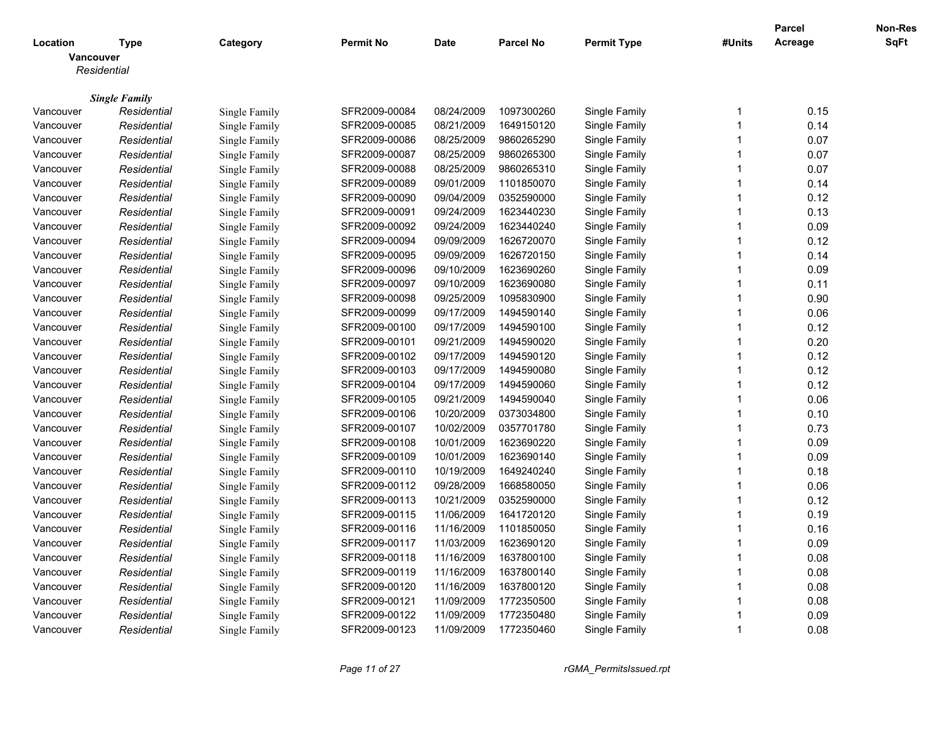|           |                                     |               |                  |             |                  |               |                         | <b>Parcel</b> | Non-Res     |
|-----------|-------------------------------------|---------------|------------------|-------------|------------------|---------------|-------------------------|---------------|-------------|
| Location  | Type                                | Category      | <b>Permit No</b> | <b>Date</b> | <b>Parcel No</b> | Permit Type   | #Units                  | Acreage       | <b>SqFt</b> |
| Vancouver |                                     |               |                  |             |                  |               |                         |               |             |
|           | Residential                         |               |                  |             |                  |               |                         |               |             |
|           |                                     |               |                  |             |                  |               |                         |               |             |
| Vancouver | <b>Single Family</b><br>Residential | Single Family | SFR2009-00084    | 08/24/2009  | 1097300260       | Single Family | -1                      | 0.15          |             |
| Vancouver | Residential                         | Single Family | SFR2009-00085    | 08/21/2009  | 1649150120       | Single Family | $\overline{1}$          | 0.14          |             |
|           |                                     |               | SFR2009-00086    | 08/25/2009  | 9860265290       |               | $\overline{1}$          | 0.07          |             |
| Vancouver | Residential                         | Single Family | SFR2009-00087    | 08/25/2009  | 9860265300       | Single Family | $\overline{1}$          |               |             |
| Vancouver | Residential                         | Single Family |                  | 08/25/2009  | 9860265310       | Single Family | $\overline{\mathbf{1}}$ | 0.07          |             |
| Vancouver | Residential                         | Single Family | SFR2009-00088    |             |                  | Single Family | $\overline{1}$          | 0.07          |             |
| Vancouver | Residential                         | Single Family | SFR2009-00089    | 09/01/2009  | 1101850070       | Single Family |                         | 0.14          |             |
| Vancouver | Residential                         | Single Family | SFR2009-00090    | 09/04/2009  | 0352590000       | Single Family | $\overline{1}$          | 0.12          |             |
| Vancouver | Residential                         | Single Family | SFR2009-00091    | 09/24/2009  | 1623440230       | Single Family | $\overline{1}$          | 0.13          |             |
| Vancouver | Residential                         | Single Family | SFR2009-00092    | 09/24/2009  | 1623440240       | Single Family | $\overline{\mathbf{1}}$ | 0.09          |             |
| Vancouver | Residential                         | Single Family | SFR2009-00094    | 09/09/2009  | 1626720070       | Single Family | $\overline{1}$          | 0.12          |             |
| Vancouver | Residential                         | Single Family | SFR2009-00095    | 09/09/2009  | 1626720150       | Single Family | $\overline{1}$          | 0.14          |             |
| Vancouver | Residential                         | Single Family | SFR2009-00096    | 09/10/2009  | 1623690260       | Single Family | $\overline{1}$          | 0.09          |             |
| Vancouver | Residential                         | Single Family | SFR2009-00097    | 09/10/2009  | 1623690080       | Single Family | $\overline{\mathbf{1}}$ | 0.11          |             |
| Vancouver | Residential                         | Single Family | SFR2009-00098    | 09/25/2009  | 1095830900       | Single Family | $\overline{1}$          | 0.90          |             |
| Vancouver | Residential                         | Single Family | SFR2009-00099    | 09/17/2009  | 1494590140       | Single Family | 1                       | 0.06          |             |
| Vancouver | Residential                         | Single Family | SFR2009-00100    | 09/17/2009  | 1494590100       | Single Family | $\mathbf 1$             | 0.12          |             |
| Vancouver | Residential                         | Single Family | SFR2009-00101    | 09/21/2009  | 1494590020       | Single Family | -1                      | 0.20          |             |
| Vancouver | Residential                         | Single Family | SFR2009-00102    | 09/17/2009  | 1494590120       | Single Family | $\overline{1}$          | 0.12          |             |
| Vancouver | Residential                         | Single Family | SFR2009-00103    | 09/17/2009  | 1494590080       | Single Family | $\overline{1}$          | 0.12          |             |
| Vancouver | Residential                         | Single Family | SFR2009-00104    | 09/17/2009  | 1494590060       | Single Family | $\mathbf 1$             | 0.12          |             |
| Vancouver | Residential                         | Single Family | SFR2009-00105    | 09/21/2009  | 1494590040       | Single Family | -1                      | 0.06          |             |
| Vancouver | Residential                         | Single Family | SFR2009-00106    | 10/20/2009  | 0373034800       | Single Family | $\overline{\mathbf{1}}$ | 0.10          |             |
| Vancouver | Residential                         | Single Family | SFR2009-00107    | 10/02/2009  | 0357701780       | Single Family | 1                       | 0.73          |             |
| Vancouver | Residential                         | Single Family | SFR2009-00108    | 10/01/2009  | 1623690220       | Single Family | $\overline{1}$          | 0.09          |             |
| Vancouver | Residential                         | Single Family | SFR2009-00109    | 10/01/2009  | 1623690140       | Single Family | -1                      | 0.09          |             |
| Vancouver | Residential                         | Single Family | SFR2009-00110    | 10/19/2009  | 1649240240       | Single Family | $\overline{1}$          | 0.18          |             |
| Vancouver | Residential                         | Single Family | SFR2009-00112    | 09/28/2009  | 1668580050       | Single Family | 1                       | 0.06          |             |
| Vancouver | Residential                         | Single Family | SFR2009-00113    | 10/21/2009  | 0352590000       | Single Family | $\overline{1}$          | 0.12          |             |
| Vancouver | Residential                         | Single Family | SFR2009-00115    | 11/06/2009  | 1641720120       | Single Family | 1                       | 0.19          |             |
| Vancouver | Residential                         | Single Family | SFR2009-00116    | 11/16/2009  | 1101850050       | Single Family | $\overline{\mathbf{1}}$ | 0.16          |             |
| Vancouver | Residential                         | Single Family | SFR2009-00117    | 11/03/2009  | 1623690120       | Single Family | 1                       | 0.09          |             |
| Vancouver | Residential                         | Single Family | SFR2009-00118    | 11/16/2009  | 1637800100       | Single Family | $\overline{1}$          | 0.08          |             |
| Vancouver | Residential                         | Single Family | SFR2009-00119    | 11/16/2009  | 1637800140       | Single Family | $\overline{1}$          | 0.08          |             |
| Vancouver | Residential                         | Single Family | SFR2009-00120    | 11/16/2009  | 1637800120       | Single Family | $\overline{1}$          | 0.08          |             |
| Vancouver | Residential                         | Single Family | SFR2009-00121    | 11/09/2009  | 1772350500       | Single Family | 1                       | 0.08          |             |
| Vancouver | Residential                         | Single Family | SFR2009-00122    | 11/09/2009  | 1772350480       | Single Family | $\overline{\mathbf{1}}$ | 0.09          |             |
| Vancouver | Residential                         | Single Family | SFR2009-00123    | 11/09/2009  | 1772350460       | Single Family | $\overline{1}$          | 0.08          |             |
|           |                                     |               |                  |             |                  |               |                         |               |             |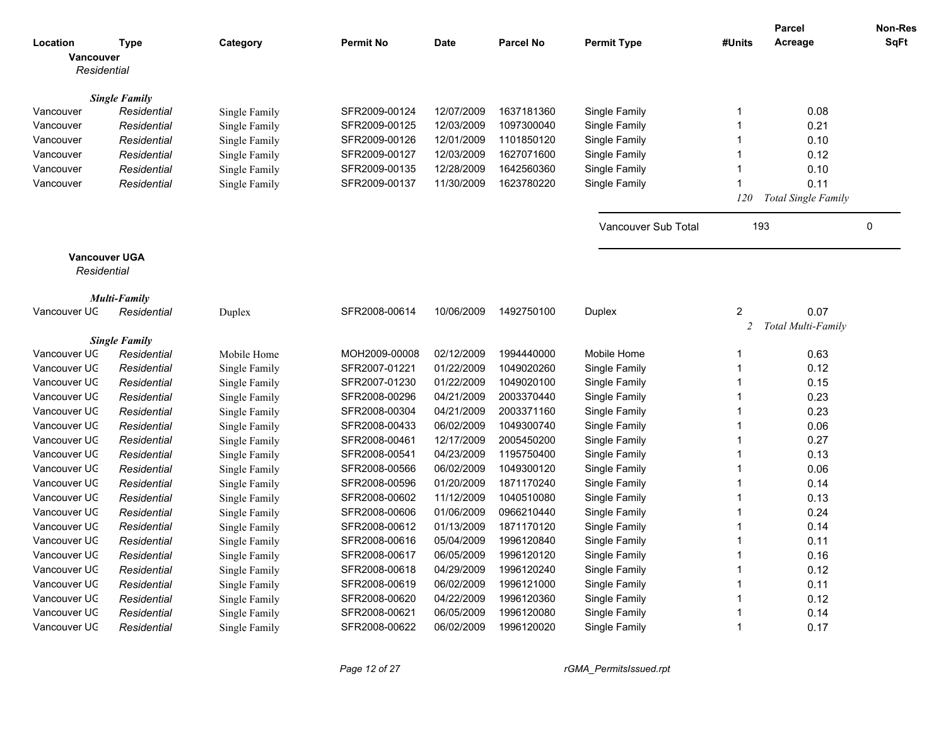|                      |                      |               |                  |            |                  |                     |                | <b>Parcel</b>       | Non-Res     |
|----------------------|----------------------|---------------|------------------|------------|------------------|---------------------|----------------|---------------------|-------------|
| Location             | <b>Type</b>          | Category      | <b>Permit No</b> | Date       | <b>Parcel No</b> | <b>Permit Type</b>  | #Units         | Acreage             | <b>SqFt</b> |
| Vancouver            |                      |               |                  |            |                  |                     |                |                     |             |
| Residential          |                      |               |                  |            |                  |                     |                |                     |             |
|                      |                      |               |                  |            |                  |                     |                |                     |             |
|                      | <b>Single Family</b> |               |                  |            |                  |                     | $\mathbf 1$    |                     |             |
| Vancouver            | Residential          | Single Family | SFR2009-00124    | 12/07/2009 | 1637181360       | Single Family       |                | 0.08                |             |
| Vancouver            | Residential          | Single Family | SFR2009-00125    | 12/03/2009 | 1097300040       | Single Family       | $\mathbf{1}$   | 0.21                |             |
| Vancouver            | Residential          | Single Family | SFR2009-00126    | 12/01/2009 | 1101850120       | Single Family       | $\mathbf{1}$   | 0.10                |             |
| Vancouver            | Residential          | Single Family | SFR2009-00127    | 12/03/2009 | 1627071600       | Single Family       | $\mathbf{1}$   | 0.12                |             |
| Vancouver            | Residential          | Single Family | SFR2009-00135    | 12/28/2009 | 1642560360       | Single Family       | $\mathbf 1$    | 0.10                |             |
| Vancouver            | Residential          | Single Family | SFR2009-00137    | 11/30/2009 | 1623780220       | Single Family       | $\mathbf 1$    | 0.11                |             |
|                      |                      |               |                  |            |                  |                     | 120            | Total Single Family |             |
|                      |                      |               |                  |            |                  |                     |                |                     |             |
|                      |                      |               |                  |            |                  | Vancouver Sub Total | 193            |                     | 0           |
|                      |                      |               |                  |            |                  |                     |                |                     |             |
| <b>Vancouver UGA</b> |                      |               |                  |            |                  |                     |                |                     |             |
| Residential          |                      |               |                  |            |                  |                     |                |                     |             |
|                      |                      |               |                  |            |                  |                     |                |                     |             |
|                      | Multi-Family         |               |                  |            |                  |                     |                |                     |             |
| Vancouver UC         | Residential          | Duplex        | SFR2008-00614    | 10/06/2009 | 1492750100       | Duplex              | $\overline{c}$ | 0.07                |             |
|                      |                      |               |                  |            |                  |                     | $\overline{c}$ | Total Multi-Family  |             |
|                      | <b>Single Family</b> |               |                  |            |                  |                     |                |                     |             |
| Vancouver UC         | Residential          | Mobile Home   | MOH2009-00008    | 02/12/2009 | 1994440000       | Mobile Home         | 1              | 0.63                |             |
| Vancouver UC         | Residential          | Single Family | SFR2007-01221    | 01/22/2009 | 1049020260       | Single Family       | $\mathbf{1}$   | 0.12                |             |
| Vancouver UC         | Residential          | Single Family | SFR2007-01230    | 01/22/2009 | 1049020100       | Single Family       | $\mathbf 1$    | 0.15                |             |
| Vancouver UC         | Residential          | Single Family | SFR2008-00296    | 04/21/2009 | 2003370440       | Single Family       | $\mathbf 1$    | 0.23                |             |
| Vancouver UC         | Residential          | Single Family | SFR2008-00304    | 04/21/2009 | 2003371160       | Single Family       | $\mathbf{1}$   | 0.23                |             |
| Vancouver UC         | Residential          | Single Family | SFR2008-00433    | 06/02/2009 | 1049300740       | Single Family       | $\mathbf{1}$   | 0.06                |             |
| Vancouver UC         | Residential          | Single Family | SFR2008-00461    | 12/17/2009 | 2005450200       | Single Family       | $\overline{1}$ | 0.27                |             |
| Vancouver UC         | Residential          | Single Family | SFR2008-00541    | 04/23/2009 | 1195750400       | Single Family       | $\overline{1}$ | 0.13                |             |
| Vancouver UC         | Residential          | Single Family | SFR2008-00566    | 06/02/2009 | 1049300120       | Single Family       | $\overline{1}$ | 0.06                |             |
| Vancouver UC         | Residential          | Single Family | SFR2008-00596    | 01/20/2009 | 1871170240       | Single Family       | $\mathbf{1}$   | 0.14                |             |
| Vancouver UC         | Residential          | Single Family | SFR2008-00602    | 11/12/2009 | 1040510080       | Single Family       | $\mathbf 1$    | 0.13                |             |
| Vancouver UC         | Residential          | Single Family | SFR2008-00606    | 01/06/2009 | 0966210440       | Single Family       | $\mathbf 1$    | 0.24                |             |
| Vancouver UC         | Residential          | Single Family | SFR2008-00612    | 01/13/2009 | 1871170120       | Single Family       | $\mathbf{1}$   | 0.14                |             |
| Vancouver UC         | Residential          | Single Family | SFR2008-00616    | 05/04/2009 | 1996120840       | Single Family       | $\mathbf{1}$   | 0.11                |             |
| Vancouver UC         | Residential          | Single Family | SFR2008-00617    | 06/05/2009 | 1996120120       | Single Family       | $\overline{1}$ | 0.16                |             |
| Vancouver UC         | Residential          | Single Family | SFR2008-00618    | 04/29/2009 | 1996120240       | Single Family       | $\overline{1}$ | 0.12                |             |
| Vancouver UC         | Residential          | Single Family | SFR2008-00619    | 06/02/2009 | 1996121000       | Single Family       | $\overline{1}$ | 0.11                |             |
| Vancouver UC         | Residential          | Single Family | SFR2008-00620    | 04/22/2009 | 1996120360       | Single Family       | $\mathbf{1}$   | 0.12                |             |
| Vancouver UC         | Residential          | Single Family | SFR2008-00621    | 06/05/2009 | 1996120080       | Single Family       | $\mathbf 1$    | 0.14                |             |
| Vancouver UC         | Residential          | Single Family | SFR2008-00622    | 06/02/2009 | 1996120020       | Single Family       | $\mathbf 1$    | 0.17                |             |
|                      |                      |               |                  |            |                  |                     |                |                     |             |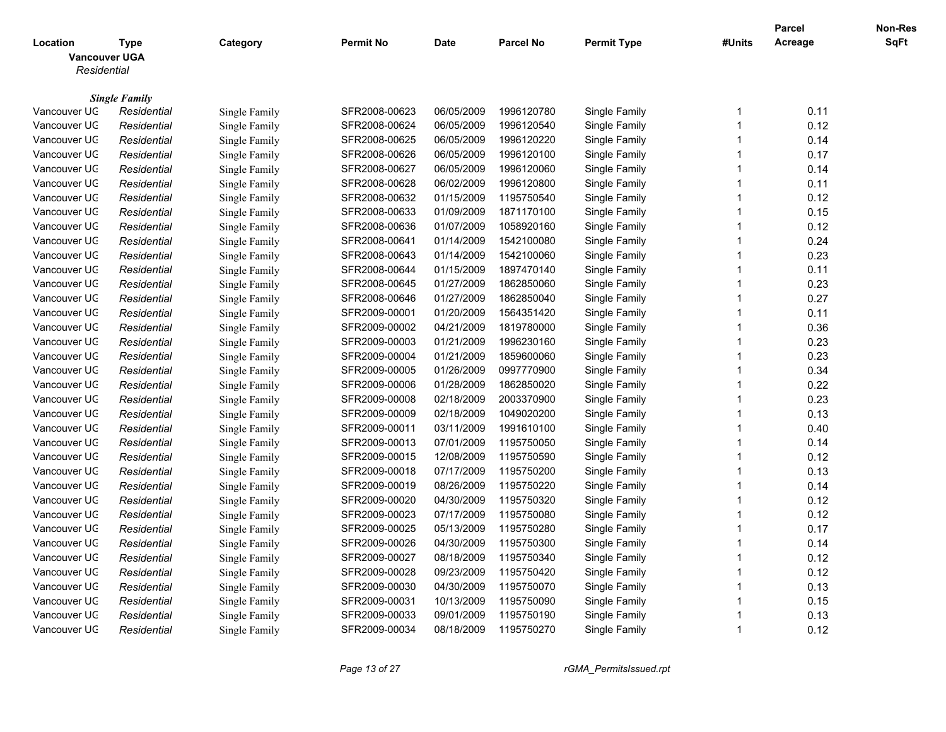|                                                 |                                     |                                |                                |                          |                          |                                |                         | <b>Parcel</b> | <b>Non-Res</b> |
|-------------------------------------------------|-------------------------------------|--------------------------------|--------------------------------|--------------------------|--------------------------|--------------------------------|-------------------------|---------------|----------------|
| Location<br><b>Vancouver UGA</b><br>Residential | <b>Type</b>                         | Category                       | <b>Permit No</b>               | <b>Date</b>              | <b>Parcel No</b>         | <b>Permit Type</b>             | #Units                  | Acreage       | <b>SqFt</b>    |
|                                                 |                                     |                                |                                |                          |                          |                                |                         |               |                |
| Vancouver UC                                    | <b>Single Family</b><br>Residential | Single Family                  | SFR2008-00623                  | 06/05/2009               | 1996120780               | Single Family                  | -1                      | 0.11          |                |
| Vancouver UC                                    | Residential                         | Single Family                  | SFR2008-00624                  | 06/05/2009               | 1996120540               | Single Family                  | $\overline{1}$          | 0.12          |                |
| Vancouver UC                                    | Residential                         | Single Family                  | SFR2008-00625                  | 06/05/2009               | 1996120220               | Single Family                  | $\overline{1}$          | 0.14          |                |
| Vancouver UC                                    | Residential                         | Single Family                  | SFR2008-00626                  | 06/05/2009               | 1996120100               | Single Family                  | $\overline{1}$          | 0.17          |                |
| Vancouver UC                                    | Residential                         | Single Family                  | SFR2008-00627                  | 06/05/2009               | 1996120060               | Single Family                  | -1                      | 0.14          |                |
| Vancouver UC                                    | Residential                         | Single Family                  | SFR2008-00628                  | 06/02/2009               | 1996120800               | Single Family                  | $\overline{1}$          | 0.11          |                |
| Vancouver UC                                    | Residential                         | Single Family                  | SFR2008-00632                  | 01/15/2009               | 1195750540               | Single Family                  | $\overline{1}$          | 0.12          |                |
| Vancouver UC                                    | Residential                         | Single Family                  | SFR2008-00633                  | 01/09/2009               | 1871170100               | Single Family                  | $\overline{1}$          | 0.15          |                |
| Vancouver UC                                    | Residential                         | Single Family                  | SFR2008-00636                  | 01/07/2009               | 1058920160               | Single Family                  | 1                       | 0.12          |                |
| Vancouver UC                                    | Residential                         | Single Family                  | SFR2008-00641                  | 01/14/2009               | 1542100080               | Single Family                  | $\overline{1}$          | 0.24          |                |
| Vancouver UC                                    | Residential                         | Single Family                  | SFR2008-00643                  | 01/14/2009               | 1542100060               | Single Family                  | $\overline{1}$          | 0.23          |                |
| Vancouver UC                                    | Residential                         | Single Family                  | SFR2008-00644                  | 01/15/2009               | 1897470140               | Single Family                  | $\overline{1}$          | 0.11          |                |
| Vancouver UC                                    | Residential                         | Single Family                  | SFR2008-00645                  | 01/27/2009               | 1862850060               | Single Family                  | 1                       | 0.23          |                |
| Vancouver UC                                    | Residential                         | Single Family                  | SFR2008-00646                  | 01/27/2009               | 1862850040               | Single Family                  | $\overline{1}$          | 0.27          |                |
| Vancouver UC                                    | Residential                         | Single Family                  | SFR2009-00001                  | 01/20/2009               | 1564351420               | Single Family                  | $\overline{1}$          | 0.11          |                |
| Vancouver UC                                    | Residential                         | Single Family                  | SFR2009-00002                  | 04/21/2009               | 1819780000               | Single Family                  | $\overline{1}$          | 0.36          |                |
| Vancouver UC                                    | Residential                         | Single Family                  | SFR2009-00003                  | 01/21/2009               | 1996230160               | Single Family                  | $\overline{1}$          | 0.23          |                |
| Vancouver UC                                    | Residential                         | Single Family                  | SFR2009-00004                  | 01/21/2009               | 1859600060               | Single Family                  | $\overline{1}$          | 0.23          |                |
| Vancouver UC                                    | Residential                         | Single Family                  | SFR2009-00005                  | 01/26/2009               | 0997770900               | Single Family                  | $\overline{1}$          | 0.34          |                |
| Vancouver UC                                    | Residential                         | Single Family                  | SFR2009-00006                  | 01/28/2009               | 1862850020               | Single Family                  | -1                      | 0.22          |                |
| Vancouver UC                                    | Residential                         | Single Family                  | SFR2009-00008                  | 02/18/2009               | 2003370900               | Single Family                  | $\overline{1}$          | 0.23          |                |
| Vancouver UC                                    | Residential                         | Single Family                  | SFR2009-00009                  | 02/18/2009               | 1049020200               | Single Family                  | $\overline{1}$          | 0.13          |                |
| Vancouver UC                                    | Residential                         | Single Family                  | SFR2009-00011                  | 03/11/2009               | 1991610100               | Single Family                  | $\overline{1}$          | 0.40          |                |
| Vancouver UC                                    | Residential                         |                                | SFR2009-00013                  | 07/01/2009               | 1195750050               | Single Family                  | -1                      | 0.14          |                |
| Vancouver UC                                    |                                     | Single Family                  |                                |                          |                          |                                | $\overline{1}$          |               |                |
| Vancouver UC                                    | Residential                         | Single Family<br>Single Family | SFR2009-00015                  | 12/08/2009               | 1195750590<br>1195750200 | Single Family<br>Single Family | $\overline{1}$          | 0.12          |                |
| Vancouver UC                                    | Residential<br>Residential          |                                | SFR2009-00018<br>SFR2009-00019 | 07/17/2009<br>08/26/2009 | 1195750220               |                                | $\overline{\mathbf{1}}$ | 0.13<br>0.14  |                |
|                                                 |                                     | Single Family                  |                                |                          |                          | Single Family                  | $\overline{1}$          |               |                |
| Vancouver UC                                    | Residential                         | Single Family                  | SFR2009-00020                  | 04/30/2009               | 1195750320               | Single Family                  | $\overline{1}$          | 0.12          |                |
| Vancouver UC                                    | Residential                         | Single Family                  | SFR2009-00023                  | 07/17/2009<br>05/13/2009 | 1195750080<br>1195750280 | Single Family                  | 1                       | 0.12<br>0.17  |                |
| Vancouver UC                                    | Residential                         | Single Family                  | SFR2009-00025                  |                          |                          | Single Family                  | $\overline{1}$          |               |                |
| Vancouver UC                                    | Residential                         | Single Family                  | SFR2009-00026                  | 04/30/2009               | 1195750300               | Single Family                  |                         | 0.14          |                |
| Vancouver UC                                    | Residential                         | Single Family                  | SFR2009-00027                  | 08/18/2009               | 1195750340               | Single Family                  | $\overline{1}$          | 0.12          |                |
| Vancouver UC                                    | Residential                         | Single Family                  | SFR2009-00028                  | 09/23/2009               | 1195750420               | Single Family                  | $\overline{\mathbf{1}}$ | 0.12          |                |
| Vancouver UC                                    | Residential                         | Single Family                  | SFR2009-00030                  | 04/30/2009               | 1195750070               | Single Family                  | 1                       | 0.13          |                |
| Vancouver UC                                    | Residential                         | Single Family                  | SFR2009-00031                  | 10/13/2009               | 1195750090               | Single Family                  | $\overline{1}$          | 0.15          |                |
| Vancouver UC                                    | Residential                         | Single Family                  | SFR2009-00033                  | 09/01/2009               | 1195750190               | Single Family                  | -1                      | 0.13          |                |
| Vancouver UC                                    | Residential                         | Single Family                  | SFR2009-00034                  | 08/18/2009               | 1195750270               | Single Family                  | $\overline{1}$          | 0.12          |                |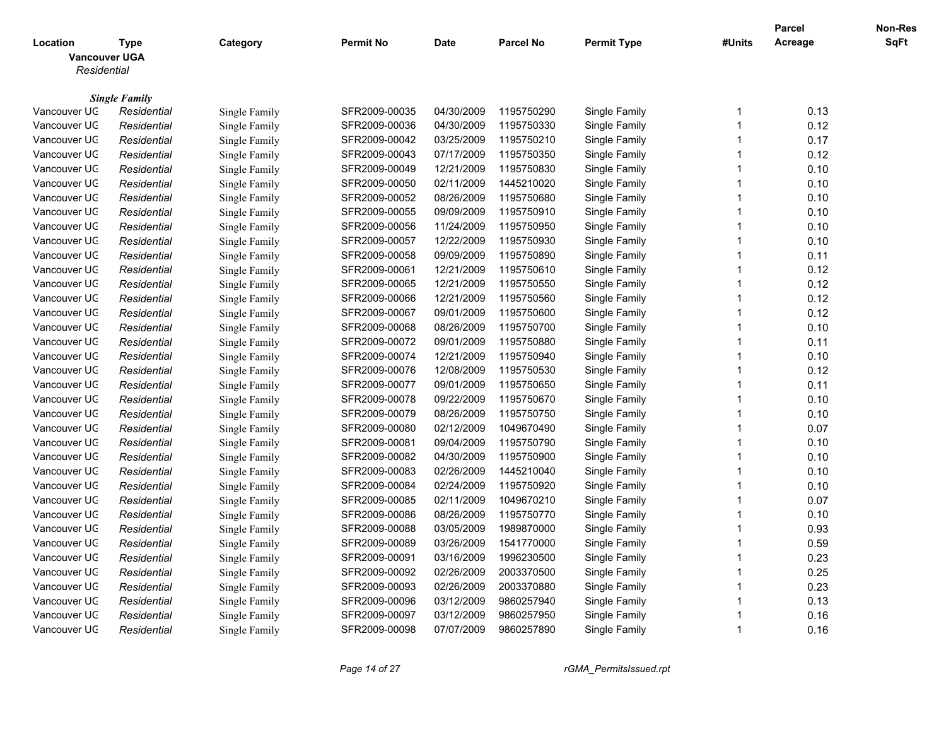|                                                 |                      |               |                  |             |                  |                    |                         | <b>Parcel</b> | Non-Res |
|-------------------------------------------------|----------------------|---------------|------------------|-------------|------------------|--------------------|-------------------------|---------------|---------|
| Location<br><b>Vancouver UGA</b><br>Residential | <b>Type</b>          | Category      | <b>Permit No</b> | <b>Date</b> | <b>Parcel No</b> | <b>Permit Type</b> | #Units                  | Acreage       | SqFt    |
|                                                 |                      |               |                  |             |                  |                    |                         |               |         |
|                                                 | <b>Single Family</b> |               |                  |             |                  |                    |                         |               |         |
| Vancouver UC                                    | Residential          | Single Family | SFR2009-00035    | 04/30/2009  | 1195750290       | Single Family      | -1                      | 0.13          |         |
| Vancouver UC                                    | Residential          | Single Family | SFR2009-00036    | 04/30/2009  | 1195750330       | Single Family      | $\overline{\mathbf{1}}$ | 0.12          |         |
| Vancouver UC                                    | Residential          | Single Family | SFR2009-00042    | 03/25/2009  | 1195750210       | Single Family      | $\overline{\mathbf{1}}$ | 0.17          |         |
| Vancouver UC                                    | Residential          | Single Family | SFR2009-00043    | 07/17/2009  | 1195750350       | Single Family      | $\overline{1}$          | 0.12          |         |
| Vancouver UC                                    | Residential          | Single Family | SFR2009-00049    | 12/21/2009  | 1195750830       | Single Family      | -1                      | 0.10          |         |
| Vancouver UC                                    | Residential          | Single Family | SFR2009-00050    | 02/11/2009  | 1445210020       | Single Family      | $\overline{1}$          | 0.10          |         |
| Vancouver UC                                    | Residential          | Single Family | SFR2009-00052    | 08/26/2009  | 1195750680       | Single Family      | $\overline{\mathbf{1}}$ | 0.10          |         |
| Vancouver UC                                    | Residential          | Single Family | SFR2009-00055    | 09/09/2009  | 1195750910       | Single Family      | $\overline{\mathbf{1}}$ | 0.10          |         |
| Vancouver UC                                    | Residential          | Single Family | SFR2009-00056    | 11/24/2009  | 1195750950       | Single Family      | $\overline{1}$          | 0.10          |         |
| Vancouver UC                                    | Residential          | Single Family | SFR2009-00057    | 12/22/2009  | 1195750930       | Single Family      | $\overline{1}$          | 0.10          |         |
| Vancouver UC                                    | Residential          | Single Family | SFR2009-00058    | 09/09/2009  | 1195750890       | Single Family      | $\overline{\mathbf{1}}$ | 0.11          |         |
| Vancouver UC                                    | Residential          | Single Family | SFR2009-00061    | 12/21/2009  | 1195750610       | Single Family      | $\overline{\mathbf{1}}$ | 0.12          |         |
| Vancouver UC                                    | Residential          | Single Family | SFR2009-00065    | 12/21/2009  | 1195750550       | Single Family      | -1                      | 0.12          |         |
| Vancouver UC                                    | Residential          | Single Family | SFR2009-00066    | 12/21/2009  | 1195750560       | Single Family      | $\overline{1}$          | 0.12          |         |
| Vancouver UC                                    | Residential          | Single Family | SFR2009-00067    | 09/01/2009  | 1195750600       | Single Family      | 1                       | 0.12          |         |
| Vancouver UC                                    | Residential          | Single Family | SFR2009-00068    | 08/26/2009  | 1195750700       | Single Family      | $\overline{1}$          | 0.10          |         |
| Vancouver UC                                    | Residential          | Single Family | SFR2009-00072    | 09/01/2009  | 1195750880       | Single Family      | 1                       | 0.11          |         |
| Vancouver UC                                    | Residential          | Single Family | SFR2009-00074    | 12/21/2009  | 1195750940       | Single Family      | $\overline{\mathbf{1}}$ | 0.10          |         |
| Vancouver UC                                    | Residential          | Single Family | SFR2009-00076    | 12/08/2009  | 1195750530       | Single Family      | $\overline{1}$          | 0.12          |         |
| Vancouver UC                                    | Residential          | Single Family | SFR2009-00077    | 09/01/2009  | 1195750650       | Single Family      | $\overline{\mathbf{1}}$ | 0.11          |         |
| Vancouver UC                                    | Residential          | Single Family | SFR2009-00078    | 09/22/2009  | 1195750670       | Single Family      | $\overline{1}$          | 0.10          |         |
| Vancouver UC                                    | Residential          | Single Family | SFR2009-00079    | 08/26/2009  | 1195750750       | Single Family      | $\overline{\mathbf{1}}$ | 0.10          |         |
| Vancouver UC                                    | Residential          | Single Family | SFR2009-00080    | 02/12/2009  | 1049670490       | Single Family      | $\overline{1}$          | 0.07          |         |
| Vancouver UC                                    | Residential          | Single Family | SFR2009-00081    | 09/04/2009  | 1195750790       | Single Family      | -1                      | 0.10          |         |
| Vancouver UC                                    | Residential          | Single Family | SFR2009-00082    | 04/30/2009  | 1195750900       | Single Family      | $\overline{1}$          | 0.10          |         |
| Vancouver UC                                    | Residential          | Single Family | SFR2009-00083    | 02/26/2009  | 1445210040       | Single Family      | $\overline{1}$          | 0.10          |         |
| Vancouver UC                                    | Residential          | Single Family | SFR2009-00084    | 02/24/2009  | 1195750920       | Single Family      | $\overline{\mathbf{1}}$ | 0.10          |         |
| Vancouver UC                                    | Residential          | Single Family | SFR2009-00085    | 02/11/2009  | 1049670210       | Single Family      | $\overline{\mathbf{1}}$ | 0.07          |         |
| Vancouver UC                                    | Residential          | Single Family | SFR2009-00086    | 08/26/2009  | 1195750770       | Single Family      | $\overline{\mathbf{1}}$ | 0.10          |         |
| Vancouver UC                                    | Residential          | Single Family | SFR2009-00088    | 03/05/2009  | 1989870000       | Single Family      | $\overline{1}$          | 0.93          |         |
| Vancouver UC                                    | Residential          | Single Family | SFR2009-00089    | 03/26/2009  | 1541770000       | Single Family      | $\overline{\mathbf{1}}$ | 0.59          |         |
| Vancouver UC                                    | Residential          | Single Family | SFR2009-00091    | 03/16/2009  | 1996230500       | Single Family      | $\overline{1}$          | 0.23          |         |
| Vancouver UC                                    | Residential          | Single Family | SFR2009-00092    | 02/26/2009  | 2003370500       | Single Family      | $\overline{1}$          | 0.25          |         |
| Vancouver UC                                    | Residential          | Single Family | SFR2009-00093    | 02/26/2009  | 2003370880       | Single Family      | 1                       | 0.23          |         |
| Vancouver UC                                    | Residential          | Single Family | SFR2009-00096    | 03/12/2009  | 9860257940       | Single Family      | $\overline{1}$          | 0.13          |         |
| Vancouver UC                                    | Residential          | Single Family | SFR2009-00097    | 03/12/2009  | 9860257950       | Single Family      | $\overline{1}$          | 0.16          |         |
| Vancouver UC                                    | Residential          | Single Family | SFR2009-00098    | 07/07/2009  | 9860257890       | Single Family      | -1                      | 0.16          |         |
|                                                 |                      |               |                  |             |                  |                    |                         |               |         |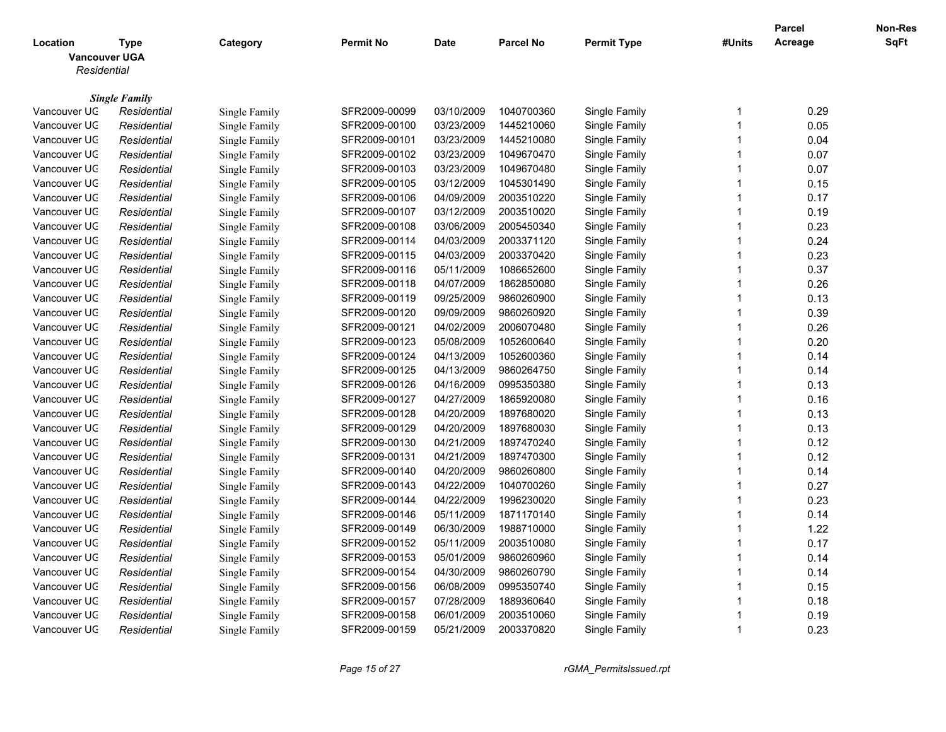|                                  |                      |               |                  |             |                  |                    |                         | <b>Parcel</b> | Non-Res |
|----------------------------------|----------------------|---------------|------------------|-------------|------------------|--------------------|-------------------------|---------------|---------|
| Location<br><b>Vancouver UGA</b> | <b>Type</b>          | Category      | <b>Permit No</b> | <b>Date</b> | <b>Parcel No</b> | <b>Permit Type</b> | #Units                  | Acreage       | SqFt    |
| Residential                      |                      |               |                  |             |                  |                    |                         |               |         |
|                                  | <b>Single Family</b> |               |                  |             |                  |                    |                         |               |         |
| Vancouver UC                     | Residential          | Single Family | SFR2009-00099    | 03/10/2009  | 1040700360       | Single Family      | -1                      | 0.29          |         |
| Vancouver UC                     | Residential          | Single Family | SFR2009-00100    | 03/23/2009  | 1445210060       | Single Family      | $\overline{\mathbf{1}}$ | 0.05          |         |
| Vancouver UC                     | Residential          | Single Family | SFR2009-00101    | 03/23/2009  | 1445210080       | Single Family      | $\overline{\mathbf{1}}$ | 0.04          |         |
| Vancouver UC                     | Residential          | Single Family | SFR2009-00102    | 03/23/2009  | 1049670470       | Single Family      | $\overline{1}$          | 0.07          |         |
| Vancouver UC                     | Residential          | Single Family | SFR2009-00103    | 03/23/2009  | 1049670480       | Single Family      | $\overline{\mathbf{1}}$ | 0.07          |         |
| Vancouver UC                     | Residential          | Single Family | SFR2009-00105    | 03/12/2009  | 1045301490       | Single Family      | $\overline{1}$          | 0.15          |         |
| Vancouver UC                     | Residential          | Single Family | SFR2009-00106    | 04/09/2009  | 2003510220       | Single Family      | $\overline{\mathbf{1}}$ | 0.17          |         |
| Vancouver UC                     | Residential          | Single Family | SFR2009-00107    | 03/12/2009  | 2003510020       | Single Family      | $\overline{\mathbf{1}}$ | 0.19          |         |
| Vancouver UC                     | Residential          | Single Family | SFR2009-00108    | 03/06/2009  | 2005450340       | Single Family      | $\overline{1}$          | 0.23          |         |
| Vancouver UC                     | Residential          | Single Family | SFR2009-00114    | 04/03/2009  | 2003371120       | Single Family      | $\overline{\mathbf{1}}$ | 0.24          |         |
| Vancouver UC                     | Residential          | Single Family | SFR2009-00115    | 04/03/2009  | 2003370420       | Single Family      | $\overline{\mathbf{1}}$ | 0.23          |         |
| Vancouver UC                     | Residential          | Single Family | SFR2009-00116    | 05/11/2009  | 1086652600       | Single Family      | $\overline{1}$          | 0.37          |         |
| Vancouver UC                     | Residential          | Single Family | SFR2009-00118    | 04/07/2009  | 1862850080       | Single Family      | $\overline{1}$          | 0.26          |         |
| Vancouver UC                     | Residential          | Single Family | SFR2009-00119    | 09/25/2009  | 9860260900       | Single Family      | $\overline{1}$          | 0.13          |         |
| Vancouver UC                     | Residential          | Single Family | SFR2009-00120    | 09/09/2009  | 9860260920       | Single Family      | 1                       | 0.39          |         |
| Vancouver UC                     | Residential          | Single Family | SFR2009-00121    | 04/02/2009  | 2006070480       | Single Family      | $\overline{1}$          | 0.26          |         |
| Vancouver UC                     | Residential          | Single Family | SFR2009-00123    | 05/08/2009  | 1052600640       | Single Family      | 1                       | 0.20          |         |
| Vancouver UC                     | Residential          | Single Family | SFR2009-00124    | 04/13/2009  | 1052600360       | Single Family      | $\overline{\mathbf{1}}$ | 0.14          |         |
| Vancouver UC                     | Residential          | Single Family | SFR2009-00125    | 04/13/2009  | 9860264750       | Single Family      | $\overline{1}$          | 0.14          |         |
| Vancouver UC                     | Residential          | Single Family | SFR2009-00126    | 04/16/2009  | 0995350380       | Single Family      | $\overline{\mathbf{1}}$ | 0.13          |         |
| Vancouver UC                     | Residential          | Single Family | SFR2009-00127    | 04/27/2009  | 1865920080       | Single Family      | $\overline{1}$          | 0.16          |         |
| Vancouver UC                     | Residential          | Single Family | SFR2009-00128    | 04/20/2009  | 1897680020       | Single Family      | $\overline{\mathbf{1}}$ | 0.13          |         |
| Vancouver UC                     | Residential          | Single Family | SFR2009-00129    | 04/20/2009  | 1897680030       | Single Family      | $\overline{\mathbf{1}}$ | 0.13          |         |
| Vancouver UC                     | Residential          | Single Family | SFR2009-00130    | 04/21/2009  | 1897470240       | Single Family      | -1                      | 0.12          |         |
| Vancouver UC                     | Residential          | Single Family | SFR2009-00131    | 04/21/2009  | 1897470300       | Single Family      | $\overline{1}$          | 0.12          |         |
| Vancouver UC                     | Residential          | Single Family | SFR2009-00140    | 04/20/2009  | 9860260800       | Single Family      | $\overline{1}$          | 0.14          |         |
| Vancouver UC                     | Residential          | Single Family | SFR2009-00143    | 04/22/2009  | 1040700260       | Single Family      | $\overline{\mathbf{1}}$ | 0.27          |         |
| Vancouver UC                     | Residential          | Single Family | SFR2009-00144    | 04/22/2009  | 1996230020       | Single Family      | $\overline{\mathbf{1}}$ | 0.23          |         |
| Vancouver UC                     | Residential          | Single Family | SFR2009-00146    | 05/11/2009  | 1871170140       | Single Family      | $\overline{\mathbf{1}}$ | 0.14          |         |
| Vancouver UC                     | Residential          | Single Family | SFR2009-00149    | 06/30/2009  | 1988710000       | Single Family      | $\overline{1}$          | 1.22          |         |
| Vancouver UC                     | Residential          | Single Family | SFR2009-00152    | 05/11/2009  | 2003510080       | Single Family      | $\overline{\mathbf{1}}$ | 0.17          |         |
| Vancouver UC                     | Residential          | Single Family | SFR2009-00153    | 05/01/2009  | 9860260960       | Single Family      | $\overline{1}$          | 0.14          |         |
| Vancouver UC                     | Residential          | Single Family | SFR2009-00154    | 04/30/2009  | 9860260790       | Single Family      | $\overline{1}$          | 0.14          |         |
| Vancouver UC                     | Residential          | Single Family | SFR2009-00156    | 06/08/2009  | 0995350740       | Single Family      | 1                       | 0.15          |         |
| Vancouver UC                     | Residential          | Single Family | SFR2009-00157    | 07/28/2009  | 1889360640       | Single Family      | $\overline{1}$          | 0.18          |         |
| Vancouver UC                     | Residential          | Single Family | SFR2009-00158    | 06/01/2009  | 2003510060       | Single Family      | $\overline{1}$          | 0.19          |         |
| Vancouver UC                     | Residential          | Single Family | SFR2009-00159    | 05/21/2009  | 2003370820       | Single Family      | -1                      | 0.23          |         |
|                                  |                      |               |                  |             |                  |                    |                         |               |         |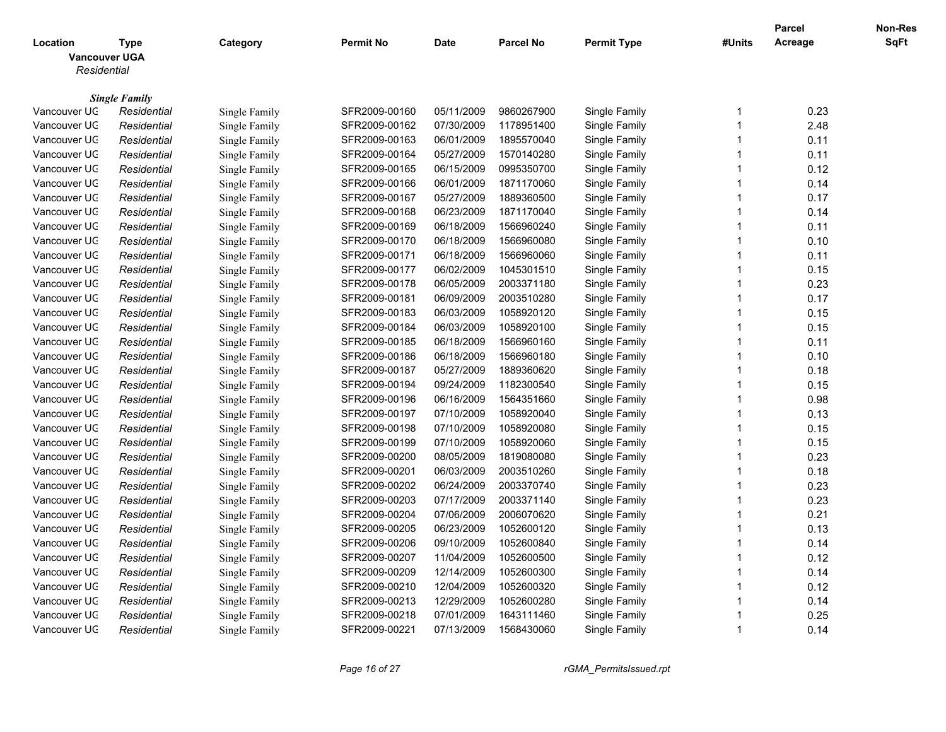|              |                                     |               |                  |             |                  |                    |                         | <b>Parcel</b> | Non-Res |
|--------------|-------------------------------------|---------------|------------------|-------------|------------------|--------------------|-------------------------|---------------|---------|
| Location     | <b>Type</b>                         | Category      | <b>Permit No</b> | <b>Date</b> | <b>Parcel No</b> | <b>Permit Type</b> | #Units                  | Acreage       | SqFt    |
|              | <b>Vancouver UGA</b>                |               |                  |             |                  |                    |                         |               |         |
| Residential  |                                     |               |                  |             |                  |                    |                         |               |         |
|              |                                     |               |                  |             |                  |                    |                         |               |         |
| Vancouver UC | <b>Single Family</b><br>Residential | Single Family | SFR2009-00160    | 05/11/2009  | 9860267900       | Single Family      | $\mathbf 1$             | 0.23          |         |
| Vancouver UC | Residential                         | Single Family | SFR2009-00162    | 07/30/2009  | 1178951400       | Single Family      | $\overline{1}$          | 2.48          |         |
| Vancouver UC | Residential                         | Single Family | SFR2009-00163    | 06/01/2009  | 1895570040       | Single Family      | $\overline{1}$          | 0.11          |         |
| Vancouver UC | Residential                         | Single Family | SFR2009-00164    | 05/27/2009  | 1570140280       | Single Family      | $\overline{1}$          | 0.11          |         |
| Vancouver UC | Residential                         | Single Family | SFR2009-00165    | 06/15/2009  | 0995350700       | Single Family      | $\mathbf 1$             | 0.12          |         |
| Vancouver UC | Residential                         | Single Family | SFR2009-00166    | 06/01/2009  | 1871170060       | Single Family      | $\overline{1}$          | 0.14          |         |
| Vancouver UC | Residential                         | Single Family | SFR2009-00167    | 05/27/2009  | 1889360500       | Single Family      | $\overline{\mathbf{1}}$ | 0.17          |         |
| Vancouver UC | Residential                         | Single Family | SFR2009-00168    | 06/23/2009  | 1871170040       | Single Family      | $\overline{1}$          | 0.14          |         |
| Vancouver UC | Residential                         | Single Family | SFR2009-00169    | 06/18/2009  | 1566960240       | Single Family      | -1                      | 0.11          |         |
| Vancouver UC | Residential                         | Single Family | SFR2009-00170    | 06/18/2009  | 1566960080       | Single Family      | $\overline{1}$          | 0.10          |         |
| Vancouver UC | Residential                         | Single Family | SFR2009-00171    | 06/18/2009  | 1566960060       | Single Family      | $\overline{1}$          | 0.11          |         |
| Vancouver UC | Residential                         | Single Family | SFR2009-00177    | 06/02/2009  | 1045301510       | Single Family      | $\overline{1}$          | 0.15          |         |
| Vancouver UC | Residential                         | Single Family | SFR2009-00178    | 06/05/2009  | 2003371180       | Single Family      | $\overline{1}$          | 0.23          |         |
| Vancouver UC | Residential                         | Single Family | SFR2009-00181    | 06/09/2009  | 2003510280       | Single Family      | $\overline{1}$          | 0.17          |         |
| Vancouver UC | Residential                         | Single Family | SFR2009-00183    | 06/03/2009  | 1058920120       | Single Family      | 1                       | 0.15          |         |
| Vancouver UC | Residential                         | Single Family | SFR2009-00184    | 06/03/2009  | 1058920100       | Single Family      | $\overline{1}$          | 0.15          |         |
| Vancouver UC | Residential                         | Single Family | SFR2009-00185    | 06/18/2009  | 1566960160       | Single Family      | 1                       | 0.11          |         |
| Vancouver UC | Residential                         | Single Family | SFR2009-00186    | 06/18/2009  | 1566960180       | Single Family      | $\overline{1}$          | 0.10          |         |
| Vancouver UC | Residential                         | Single Family | SFR2009-00187    | 05/27/2009  | 1889360620       | Single Family      | $\overline{1}$          | 0.18          |         |
| Vancouver UC | Residential                         | Single Family | SFR2009-00194    | 09/24/2009  | 1182300540       | Single Family      | $\overline{1}$          | 0.15          |         |
| Vancouver UC | Residential                         | Single Family | SFR2009-00196    | 06/16/2009  | 1564351660       | Single Family      | $\overline{1}$          | 0.98          |         |
| Vancouver UC | Residential                         | Single Family | SFR2009-00197    | 07/10/2009  | 1058920040       | Single Family      | $\overline{1}$          | 0.13          |         |
| Vancouver UC | Residential                         | Single Family | SFR2009-00198    | 07/10/2009  | 1058920080       | Single Family      | $\overline{1}$          | 0.15          |         |
| Vancouver UC | Residential                         | Single Family | SFR2009-00199    | 07/10/2009  | 1058920060       | Single Family      | $\overline{\mathbf{1}}$ | 0.15          |         |
| Vancouver UC | Residential                         | Single Family | SFR2009-00200    | 08/05/2009  | 1819080080       | Single Family      | $\overline{1}$          | 0.23          |         |
| Vancouver UC | Residential                         | Single Family | SFR2009-00201    | 06/03/2009  | 2003510260       | Single Family      | $\overline{1}$          | 0.18          |         |
| Vancouver UC | Residential                         | Single Family | SFR2009-00202    | 06/24/2009  | 2003370740       | Single Family      | $\overline{1}$          | 0.23          |         |
| Vancouver UC | Residential                         | Single Family | SFR2009-00203    | 07/17/2009  | 2003371140       | Single Family      | -1                      | 0.23          |         |
| Vancouver UC | Residential                         | Single Family | SFR2009-00204    | 07/06/2009  | 2006070620       | Single Family      | $\overline{1}$          | 0.21          |         |
| Vancouver UC | Residential                         | Single Family | SFR2009-00205    | 06/23/2009  | 1052600120       | Single Family      | 1                       | 0.13          |         |
| Vancouver UC | Residential                         | Single Family | SFR2009-00206    | 09/10/2009  | 1052600840       | Single Family      | $\overline{1}$          | 0.14          |         |
| Vancouver UC | Residential                         | Single Family | SFR2009-00207    | 11/04/2009  | 1052600500       | Single Family      | $\overline{\mathbf{1}}$ | 0.12          |         |
| Vancouver UC | Residential                         | Single Family | SFR2009-00209    | 12/14/2009  | 1052600300       | Single Family      | $\overline{1}$          | 0.14          |         |
| Vancouver UC | Residential                         | Single Family | SFR2009-00210    | 12/04/2009  | 1052600320       | Single Family      | 1                       | 0.12          |         |
| Vancouver UC | Residential                         | Single Family | SFR2009-00213    | 12/29/2009  | 1052600280       | Single Family      | -1                      | 0.14          |         |
| Vancouver UC | Residential                         | Single Family | SFR2009-00218    | 07/01/2009  | 1643111460       | Single Family      | 1                       | 0.25          |         |
| Vancouver UC | Residential                         | Single Family | SFR2009-00221    | 07/13/2009  | 1568430060       | Single Family      | $\overline{1}$          | 0.14          |         |
|              |                                     |               |                  |             |                  |                    |                         |               |         |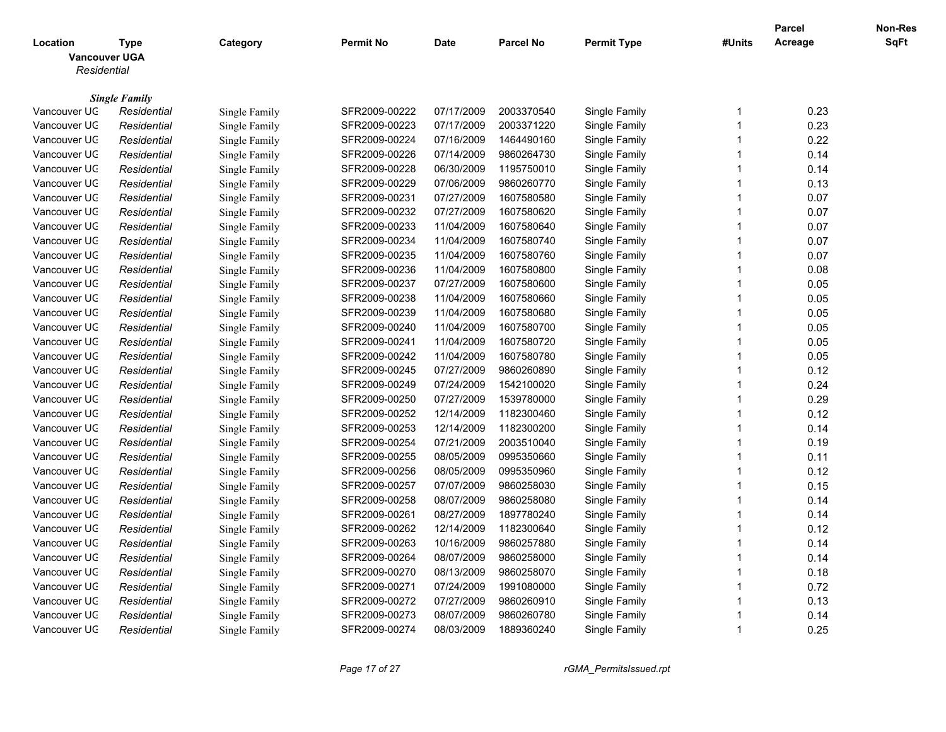|                                  |                                     |               |                  |            |                  |                    |                         | <b>Parcel</b> | Non-Res |
|----------------------------------|-------------------------------------|---------------|------------------|------------|------------------|--------------------|-------------------------|---------------|---------|
| Location<br><b>Vancouver UGA</b> | <b>Type</b>                         | Category      | <b>Permit No</b> | Date       | <b>Parcel No</b> | <b>Permit Type</b> | #Units                  | Acreage       | SqFt    |
| Residential                      |                                     |               |                  |            |                  |                    |                         |               |         |
|                                  |                                     |               |                  |            |                  |                    |                         |               |         |
| Vancouver UC                     | <b>Single Family</b><br>Residential | Single Family | SFR2009-00222    | 07/17/2009 | 2003370540       | Single Family      | -1                      | 0.23          |         |
| Vancouver UC                     | Residential                         | Single Family | SFR2009-00223    | 07/17/2009 | 2003371220       | Single Family      | $\overline{1}$          | 0.23          |         |
| Vancouver UC                     | Residential                         | Single Family | SFR2009-00224    | 07/16/2009 | 1464490160       | Single Family      | $\overline{\mathbf{1}}$ | 0.22          |         |
| Vancouver UC                     | Residential                         | Single Family | SFR2009-00226    | 07/14/2009 | 9860264730       | Single Family      | $\overline{1}$          | 0.14          |         |
| Vancouver UC                     | Residential                         | Single Family | SFR2009-00228    | 06/30/2009 | 1195750010       | Single Family      | -1                      | 0.14          |         |
| Vancouver UC                     | Residential                         | Single Family | SFR2009-00229    | 07/06/2009 | 9860260770       | Single Family      | $\overline{1}$          | 0.13          |         |
| Vancouver UC                     | Residential                         | Single Family | SFR2009-00231    | 07/27/2009 | 1607580580       | Single Family      | $\overline{1}$          | 0.07          |         |
| Vancouver UC                     | Residential                         | Single Family | SFR2009-00232    | 07/27/2009 | 1607580620       | Single Family      | $\overline{1}$          | 0.07          |         |
| Vancouver UC                     | Residential                         | Single Family | SFR2009-00233    | 11/04/2009 | 1607580640       | Single Family      | -1                      | 0.07          |         |
| Vancouver UC                     | Residential                         | Single Family | SFR2009-00234    | 11/04/2009 | 1607580740       | Single Family      | $\overline{1}$          | 0.07          |         |
| Vancouver UC                     | Residential                         | Single Family | SFR2009-00235    | 11/04/2009 | 1607580760       | Single Family      | $\overline{\mathbf{1}}$ | 0.07          |         |
| Vancouver UC                     | Residential                         | Single Family | SFR2009-00236    | 11/04/2009 | 1607580800       | Single Family      | $\overline{\mathbf{1}}$ | 0.08          |         |
| Vancouver UC                     | Residential                         | Single Family | SFR2009-00237    | 07/27/2009 | 1607580600       | Single Family      | $\overline{1}$          | 0.05          |         |
| Vancouver UC                     | Residential                         | Single Family | SFR2009-00238    | 11/04/2009 | 1607580660       | Single Family      | $\overline{\mathbf{1}}$ | 0.05          |         |
| Vancouver UC                     | Residential                         | Single Family | SFR2009-00239    | 11/04/2009 | 1607580680       | Single Family      | $\overline{1}$          | 0.05          |         |
| Vancouver UC                     | Residential                         | Single Family | SFR2009-00240    | 11/04/2009 | 1607580700       | Single Family      | $\overline{1}$          | 0.05          |         |
| Vancouver UC                     | Residential                         | Single Family | SFR2009-00241    | 11/04/2009 | 1607580720       | Single Family      | $\overline{1}$          | 0.05          |         |
| Vancouver UC                     | Residential                         | Single Family | SFR2009-00242    | 11/04/2009 | 1607580780       | Single Family      | $\overline{1}$          | 0.05          |         |
| Vancouver UC                     | Residential                         | Single Family | SFR2009-00245    | 07/27/2009 | 9860260890       | Single Family      | 1                       | 0.12          |         |
| Vancouver UC                     | Residential                         | Single Family | SFR2009-00249    | 07/24/2009 | 1542100020       | Single Family      | $\overline{1}$          | 0.24          |         |
| Vancouver UC                     | Residential                         | Single Family | SFR2009-00250    | 07/27/2009 | 1539780000       | Single Family      | $\overline{1}$          | 0.29          |         |
| Vancouver UC                     | Residential                         | Single Family | SFR2009-00252    | 12/14/2009 | 1182300460       | Single Family      | $\overline{1}$          | 0.12          |         |
| Vancouver UC                     | Residential                         | Single Family | SFR2009-00253    | 12/14/2009 | 1182300200       | Single Family      | $\overline{1}$          | 0.14          |         |
| Vancouver UC                     | Residential                         | Single Family | SFR2009-00254    | 07/21/2009 | 2003510040       | Single Family      | $\overline{1}$          | 0.19          |         |
| Vancouver UC                     | Residential                         | Single Family | SFR2009-00255    | 08/05/2009 | 0995350660       | Single Family      | $\overline{1}$          | 0.11          |         |
| Vancouver UC                     | Residential                         | Single Family | SFR2009-00256    | 08/05/2009 | 0995350960       | Single Family      | $\overline{\mathbf{1}}$ | 0.12          |         |
| Vancouver UC                     | Residential                         | Single Family | SFR2009-00257    | 07/07/2009 | 9860258030       | Single Family      | $\overline{\mathbf{1}}$ | 0.15          |         |
| Vancouver UC                     | Residential                         | Single Family | SFR2009-00258    | 08/07/2009 | 9860258080       | Single Family      | -1                      | 0.14          |         |
| Vancouver UC                     | Residential                         | Single Family | SFR2009-00261    | 08/27/2009 | 1897780240       | Single Family      | $\overline{1}$          | 0.14          |         |
| Vancouver UC                     | Residential                         | Single Family | SFR2009-00262    | 12/14/2009 | 1182300640       | Single Family      | $\overline{\mathbf{1}}$ | 0.12          |         |
| Vancouver UC                     | Residential                         | Single Family | SFR2009-00263    | 10/16/2009 | 9860257880       | Single Family      | $\overline{\mathbf{1}}$ | 0.14          |         |
| Vancouver UC                     | Residential                         | Single Family | SFR2009-00264    | 08/07/2009 | 9860258000       | Single Family      | $\overline{1}$          | 0.14          |         |
| Vancouver UC                     | Residential                         | Single Family | SFR2009-00270    | 08/13/2009 | 9860258070       | Single Family      | $\overline{1}$          | 0.18          |         |
| Vancouver UC                     | Residential                         | Single Family | SFR2009-00271    | 07/24/2009 | 1991080000       | Single Family      | $\overline{1}$          | 0.72          |         |
| Vancouver UC                     | Residential                         | Single Family | SFR2009-00272    | 07/27/2009 | 9860260910       | Single Family      | $\overline{1}$          | 0.13          |         |
| Vancouver UC                     | Residential                         | Single Family | SFR2009-00273    | 08/07/2009 | 9860260780       | Single Family      | 1                       | 0.14          |         |
| Vancouver UC                     | Residential                         | Single Family | SFR2009-00274    | 08/03/2009 | 1889360240       | Single Family      | $\overline{1}$          | 0.25          |         |
|                                  |                                     |               |                  |            |                  |                    |                         |               |         |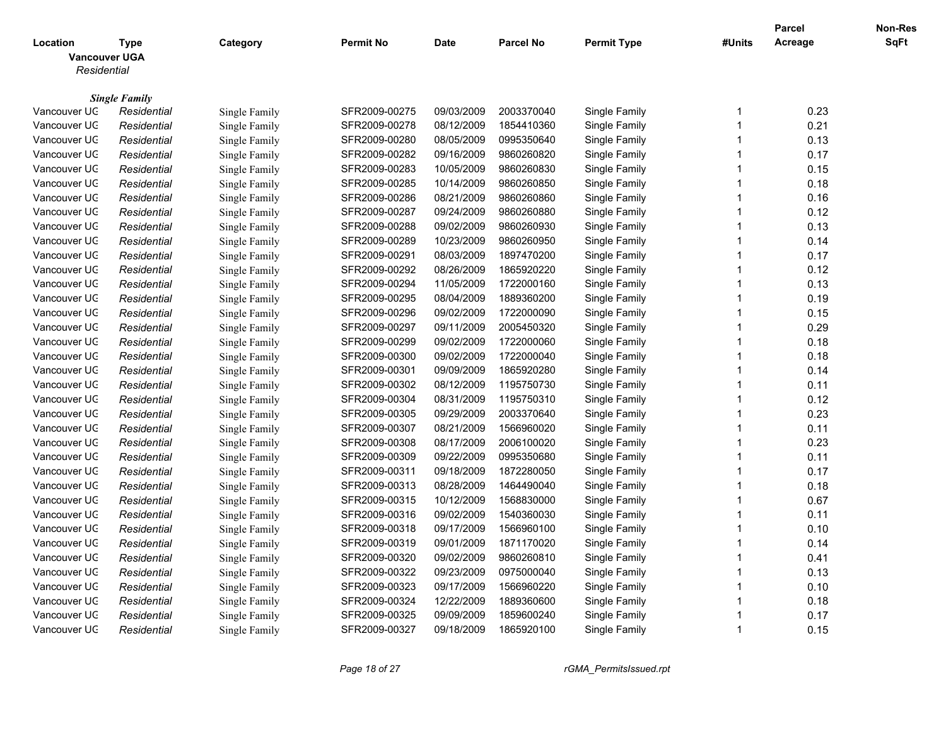|                                                 |                      |                      |                  |             |                  |                      |                         | <b>Parcel</b> | Non-Res |
|-------------------------------------------------|----------------------|----------------------|------------------|-------------|------------------|----------------------|-------------------------|---------------|---------|
| Location<br><b>Vancouver UGA</b><br>Residential | Type                 | Category             | <b>Permit No</b> | <b>Date</b> | <b>Parcel No</b> | <b>Permit Type</b>   | #Units                  | Acreage       | SqFt    |
|                                                 |                      |                      |                  |             |                  |                      |                         |               |         |
|                                                 | <b>Single Family</b> |                      |                  |             |                  |                      |                         |               |         |
| Vancouver UC                                    | Residential          | Single Family        | SFR2009-00275    | 09/03/2009  | 2003370040       | Single Family        | -1                      | 0.23          |         |
| Vancouver UC                                    | Residential          | Single Family        | SFR2009-00278    | 08/12/2009  | 1854410360       | Single Family        | $\overline{1}$          | 0.21          |         |
| Vancouver UC                                    | Residential          | Single Family        | SFR2009-00280    | 08/05/2009  | 0995350640       | Single Family        | $\overline{1}$          | 0.13          |         |
| Vancouver UC                                    | Residential          | Single Family        | SFR2009-00282    | 09/16/2009  | 9860260820       | Single Family        | $\overline{1}$          | 0.17          |         |
| Vancouver UC                                    | Residential          | Single Family        | SFR2009-00283    | 10/05/2009  | 9860260830       | Single Family        | -1                      | 0.15          |         |
| Vancouver UC                                    | Residential          | Single Family        | SFR2009-00285    | 10/14/2009  | 9860260850       | Single Family        | $\overline{1}$          | 0.18          |         |
| Vancouver UC                                    | Residential          | Single Family        | SFR2009-00286    | 08/21/2009  | 9860260860       | Single Family        | $\overline{1}$          | 0.16          |         |
| Vancouver UC                                    | Residential          | Single Family        | SFR2009-00287    | 09/24/2009  | 9860260880       | Single Family        | $\overline{1}$          | 0.12          |         |
| Vancouver UC                                    | Residential          | Single Family        | SFR2009-00288    | 09/02/2009  | 9860260930       | <b>Single Family</b> | -1                      | 0.13          |         |
| Vancouver UC                                    | Residential          | Single Family        | SFR2009-00289    | 10/23/2009  | 9860260950       | Single Family        | $\overline{1}$          | 0.14          |         |
| Vancouver UC                                    | Residential          | Single Family        | SFR2009-00291    | 08/03/2009  | 1897470200       | Single Family        | $\overline{\mathbf{1}}$ | 0.17          |         |
| Vancouver UC                                    | Residential          | Single Family        | SFR2009-00292    | 08/26/2009  | 1865920220       | Single Family        | $\overline{\mathbf{1}}$ | 0.12          |         |
| Vancouver UC                                    | Residential          | Single Family        | SFR2009-00294    | 11/05/2009  | 1722000160       | Single Family        | $\overline{1}$          | 0.13          |         |
| Vancouver UC                                    | Residential          | Single Family        | SFR2009-00295    | 08/04/2009  | 1889360200       | Single Family        | $\overline{\mathbf{1}}$ | 0.19          |         |
| Vancouver UC                                    | Residential          | Single Family        | SFR2009-00296    | 09/02/2009  | 1722000090       | Single Family        | 1                       | 0.15          |         |
| Vancouver UC                                    | Residential          | Single Family        | SFR2009-00297    | 09/11/2009  | 2005450320       | Single Family        | $\overline{\mathbf{1}}$ | 0.29          |         |
| Vancouver UC                                    | Residential          | Single Family        | SFR2009-00299    | 09/02/2009  | 1722000060       | Single Family        | $\overline{1}$          | 0.18          |         |
| Vancouver UC                                    | Residential          | Single Family        | SFR2009-00300    | 09/02/2009  | 1722000040       | Single Family        | $\overline{1}$          | 0.18          |         |
| Vancouver UC                                    | Residential          | Single Family        | SFR2009-00301    | 09/09/2009  | 1865920280       | Single Family        | $\overline{1}$          | 0.14          |         |
| Vancouver UC                                    | Residential          | Single Family        | SFR2009-00302    | 08/12/2009  | 1195750730       | Single Family        | $\overline{\mathbf{1}}$ | 0.11          |         |
| Vancouver UC                                    | Residential          | Single Family        | SFR2009-00304    | 08/31/2009  | 1195750310       | Single Family        | $\overline{1}$          | 0.12          |         |
| Vancouver UC                                    | Residential          | Single Family        | SFR2009-00305    | 09/29/2009  | 2003370640       | Single Family        | $\overline{1}$          | 0.23          |         |
| Vancouver UC                                    | Residential          | Single Family        | SFR2009-00307    | 08/21/2009  | 1566960020       | <b>Single Family</b> | $\overline{1}$          | 0.11          |         |
| Vancouver UC                                    | Residential          | Single Family        | SFR2009-00308    | 08/17/2009  | 2006100020       | Single Family        | $\overline{1}$          | 0.23          |         |
| Vancouver UC                                    | Residential          | Single Family        | SFR2009-00309    | 09/22/2009  | 0995350680       | Single Family        | $\overline{1}$          | 0.11          |         |
| Vancouver UC                                    | Residential          | Single Family        | SFR2009-00311    | 09/18/2009  | 1872280050       | Single Family        | $\overline{\mathbf{1}}$ | 0.17          |         |
| Vancouver UC                                    | Residential          | <b>Single Family</b> | SFR2009-00313    | 08/28/2009  | 1464490040       | Single Family        | $\overline{1}$          | 0.18          |         |
| Vancouver UC                                    | Residential          | Single Family        | SFR2009-00315    | 10/12/2009  | 1568830000       | Single Family        | -1                      | 0.67          |         |
| Vancouver UC                                    | Residential          | Single Family        | SFR2009-00316    | 09/02/2009  | 1540360030       | <b>Single Family</b> | $\overline{1}$          | 0.11          |         |
| Vancouver UC                                    | Residential          | Single Family        | SFR2009-00318    | 09/17/2009  | 1566960100       | Single Family        | $\overline{1}$          | 0.10          |         |
| Vancouver UC                                    | Residential          | Single Family        | SFR2009-00319    | 09/01/2009  | 1871170020       | Single Family        | $\overline{\mathbf{1}}$ | 0.14          |         |
| Vancouver UC                                    | Residential          | Single Family        | SFR2009-00320    | 09/02/2009  | 9860260810       | Single Family        | $\overline{1}$          | 0.41          |         |
| Vancouver UC                                    | Residential          | Single Family        | SFR2009-00322    | 09/23/2009  | 0975000040       | Single Family        | $\overline{1}$          | 0.13          |         |
| Vancouver UC                                    | Residential          | Single Family        | SFR2009-00323    | 09/17/2009  | 1566960220       | Single Family        | 1                       | 0.10          |         |
| Vancouver UC                                    | Residential          | Single Family        | SFR2009-00324    | 12/22/2009  | 1889360600       | Single Family        | $\overline{1}$          | 0.18          |         |
| Vancouver UC                                    | Residential          | Single Family        | SFR2009-00325    | 09/09/2009  | 1859600240       | Single Family        | 1                       | 0.17          |         |
| Vancouver UC                                    | Residential          | Single Family        | SFR2009-00327    | 09/18/2009  | 1865920100       | Single Family        | $\overline{1}$          | 0.15          |         |
|                                                 |                      |                      |                  |             |                  |                      |                         |               |         |

*Page 18 of 27 rGMA\_PermitsIssued.rpt*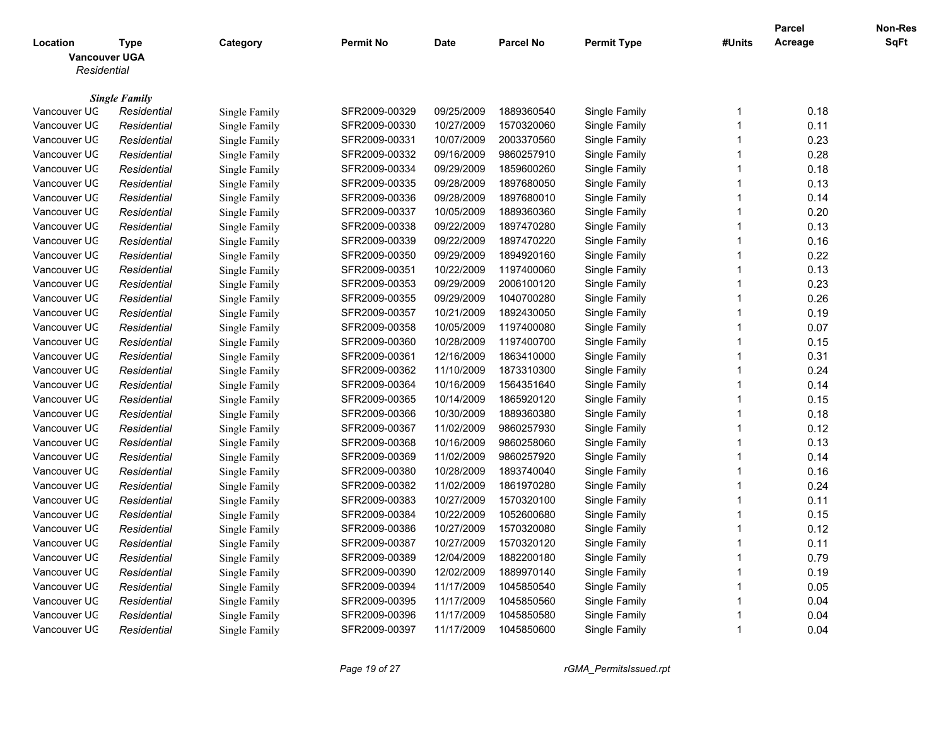|                                                 |                      |                      |               |             |                  |                      |                         | Parcel  | Non-Res |
|-------------------------------------------------|----------------------|----------------------|---------------|-------------|------------------|----------------------|-------------------------|---------|---------|
| Location<br><b>Vancouver UGA</b><br>Residential | Type                 | Category             | Permit No     | <b>Date</b> | <b>Parcel No</b> | <b>Permit Type</b>   | #Units                  | Acreage | SqFt    |
|                                                 |                      |                      |               |             |                  |                      |                         |         |         |
|                                                 | <b>Single Family</b> |                      |               |             |                  |                      |                         |         |         |
| Vancouver UC                                    | Residential          | Single Family        | SFR2009-00329 | 09/25/2009  | 1889360540       | Single Family        | -1                      | 0.18    |         |
| Vancouver UC                                    | Residential          | Single Family        | SFR2009-00330 | 10/27/2009  | 1570320060       | Single Family        | $\overline{1}$          | 0.11    |         |
| Vancouver UC                                    | Residential          | Single Family        | SFR2009-00331 | 10/07/2009  | 2003370560       | Single Family        | $\overline{\mathbf{1}}$ | 0.23    |         |
| Vancouver UC                                    | Residential          | Single Family        | SFR2009-00332 | 09/16/2009  | 9860257910       | Single Family        | $\overline{1}$          | 0.28    |         |
| Vancouver UC                                    | Residential          | Single Family        | SFR2009-00334 | 09/29/2009  | 1859600260       | Single Family        | -1                      | 0.18    |         |
| Vancouver UC                                    | Residential          | Single Family        | SFR2009-00335 | 09/28/2009  | 1897680050       | Single Family        | $\overline{1}$          | 0.13    |         |
| Vancouver UC                                    | Residential          | Single Family        | SFR2009-00336 | 09/28/2009  | 1897680010       | Single Family        | $\overline{1}$          | 0.14    |         |
| Vancouver UC                                    | Residential          | Single Family        | SFR2009-00337 | 10/05/2009  | 1889360360       | Single Family        | $\overline{1}$          | 0.20    |         |
| Vancouver UC                                    | Residential          | Single Family        | SFR2009-00338 | 09/22/2009  | 1897470280       | <b>Single Family</b> | -1                      | 0.13    |         |
| Vancouver UC                                    | Residential          | Single Family        | SFR2009-00339 | 09/22/2009  | 1897470220       | Single Family        | $\overline{1}$          | 0.16    |         |
| Vancouver UC                                    | Residential          | Single Family        | SFR2009-00350 | 09/29/2009  | 1894920160       | Single Family        | $\overline{\mathbf{1}}$ | 0.22    |         |
| Vancouver UC                                    | Residential          | Single Family        | SFR2009-00351 | 10/22/2009  | 1197400060       | Single Family        | $\overline{\mathbf{1}}$ | 0.13    |         |
| Vancouver UC                                    | Residential          | Single Family        | SFR2009-00353 | 09/29/2009  | 2006100120       | Single Family        | $\overline{1}$          | 0.23    |         |
| Vancouver UC                                    | Residential          | Single Family        | SFR2009-00355 | 09/29/2009  | 1040700280       | Single Family        | $\overline{\mathbf{1}}$ | 0.26    |         |
| Vancouver UC                                    | Residential          | Single Family        | SFR2009-00357 | 10/21/2009  | 1892430050       | Single Family        | 1                       | 0.19    |         |
| Vancouver UC                                    | Residential          | Single Family        | SFR2009-00358 | 10/05/2009  | 1197400080       | Single Family        | $\overline{1}$          | 0.07    |         |
| Vancouver UC                                    | Residential          | Single Family        | SFR2009-00360 | 10/28/2009  | 1197400700       | Single Family        | $\overline{1}$          | 0.15    |         |
| Vancouver UC                                    | Residential          | Single Family        | SFR2009-00361 | 12/16/2009  | 1863410000       | Single Family        | $\overline{1}$          | 0.31    |         |
| Vancouver UC                                    | Residential          | Single Family        | SFR2009-00362 | 11/10/2009  | 1873310300       | Single Family        | $\overline{1}$          | 0.24    |         |
| Vancouver UC                                    | Residential          | Single Family        | SFR2009-00364 | 10/16/2009  | 1564351640       | Single Family        | $\overline{1}$          | 0.14    |         |
| Vancouver UC                                    | Residential          | Single Family        | SFR2009-00365 | 10/14/2009  | 1865920120       | Single Family        | $\overline{1}$          | 0.15    |         |
| Vancouver UC                                    | Residential          | Single Family        | SFR2009-00366 | 10/30/2009  | 1889360380       | Single Family        | $\overline{1}$          | 0.18    |         |
| Vancouver UC                                    | Residential          | Single Family        | SFR2009-00367 | 11/02/2009  | 9860257930       | <b>Single Family</b> | $\overline{1}$          | 0.12    |         |
| Vancouver UC                                    | Residential          | Single Family        | SFR2009-00368 | 10/16/2009  | 9860258060       | Single Family        | $\overline{1}$          | 0.13    |         |
| Vancouver UC                                    | Residential          | Single Family        | SFR2009-00369 | 11/02/2009  | 9860257920       | Single Family        | $\overline{1}$          | 0.14    |         |
| Vancouver UC                                    | Residential          | Single Family        | SFR2009-00380 | 10/28/2009  | 1893740040       | Single Family        | $\overline{\mathbf{1}}$ | 0.16    |         |
| Vancouver UC                                    | Residential          | <b>Single Family</b> | SFR2009-00382 | 11/02/2009  | 1861970280       | Single Family        | $\overline{\mathbf{1}}$ | 0.24    |         |
| Vancouver UC                                    | Residential          | Single Family        | SFR2009-00383 | 10/27/2009  | 1570320100       | Single Family        | -1                      | 0.11    |         |
| Vancouver UC                                    | Residential          | Single Family        | SFR2009-00384 | 10/22/2009  | 1052600680       | Single Family        | $\overline{1}$          | 0.15    |         |
| Vancouver UC                                    | Residential          | Single Family        | SFR2009-00386 | 10/27/2009  | 1570320080       | Single Family        | $\overline{1}$          | 0.12    |         |
| Vancouver UC                                    | Residential          | Single Family        | SFR2009-00387 | 10/27/2009  | 1570320120       | Single Family        | $\overline{\mathbf{1}}$ | 0.11    |         |
| Vancouver UC                                    | Residential          | Single Family        | SFR2009-00389 | 12/04/2009  | 1882200180       | Single Family        | $\overline{1}$          | 0.79    |         |
| Vancouver UC                                    | Residential          | Single Family        | SFR2009-00390 | 12/02/2009  | 1889970140       | Single Family        | $\overline{1}$          | 0.19    |         |
| Vancouver UC                                    | Residential          | Single Family        | SFR2009-00394 | 11/17/2009  | 1045850540       | Single Family        | 1                       | 0.05    |         |
| Vancouver UC                                    | Residential          | Single Family        | SFR2009-00395 | 11/17/2009  | 1045850560       | Single Family        | $\overline{1}$          | 0.04    |         |
| Vancouver UC                                    | Residential          | Single Family        | SFR2009-00396 | 11/17/2009  | 1045850580       | Single Family        | 1                       | 0.04    |         |
| Vancouver UC                                    | Residential          | Single Family        | SFR2009-00397 | 11/17/2009  | 1045850600       | Single Family        | $\overline{1}$          | 0.04    |         |
|                                                 |                      |                      |               |             |                  |                      |                         |         |         |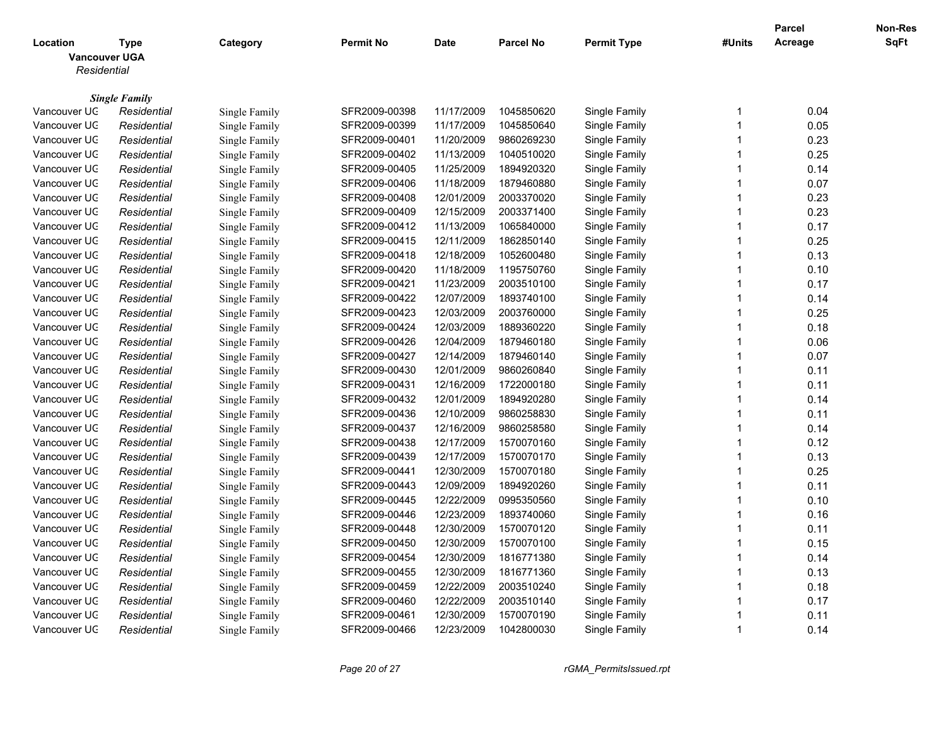|                      |                      |               |                  |             |                  |                    |                         | <b>Parcel</b> | Non-Res |
|----------------------|----------------------|---------------|------------------|-------------|------------------|--------------------|-------------------------|---------------|---------|
| Location             | <b>Type</b>          | Category      | <b>Permit No</b> | <b>Date</b> | <b>Parcel No</b> | <b>Permit Type</b> | #Units                  | Acreage       | SqFt    |
| <b>Vancouver UGA</b> |                      |               |                  |             |                  |                    |                         |               |         |
| Residential          |                      |               |                  |             |                  |                    |                         |               |         |
|                      | <b>Single Family</b> |               |                  |             |                  |                    |                         |               |         |
| Vancouver UC         | Residential          | Single Family | SFR2009-00398    | 11/17/2009  | 1045850620       | Single Family      | -1                      | 0.04          |         |
| Vancouver UC         | Residential          | Single Family | SFR2009-00399    | 11/17/2009  | 1045850640       | Single Family      | $\overline{1}$          | 0.05          |         |
| Vancouver UC         | Residential          | Single Family | SFR2009-00401    | 11/20/2009  | 9860269230       | Single Family      | $\overline{\mathbf{1}}$ | 0.23          |         |
| Vancouver UC         | Residential          | Single Family | SFR2009-00402    | 11/13/2009  | 1040510020       | Single Family      | $\overline{1}$          | 0.25          |         |
| Vancouver UC         | Residential          | Single Family | SFR2009-00405    | 11/25/2009  | 1894920320       | Single Family      | -1                      | 0.14          |         |
| Vancouver UC         | Residential          | Single Family | SFR2009-00406    | 11/18/2009  | 1879460880       | Single Family      | $\overline{1}$          | 0.07          |         |
| Vancouver UC         | Residential          | Single Family | SFR2009-00408    | 12/01/2009  | 2003370020       | Single Family      | $\overline{1}$          | 0.23          |         |
| Vancouver UC         | Residential          | Single Family | SFR2009-00409    | 12/15/2009  | 2003371400       | Single Family      | $\overline{1}$          | 0.23          |         |
| Vancouver UC         | Residential          | Single Family | SFR2009-00412    | 11/13/2009  | 1065840000       | Single Family      | -1                      | 0.17          |         |
| Vancouver UC         | Residential          | Single Family | SFR2009-00415    | 12/11/2009  | 1862850140       | Single Family      | $\overline{1}$          | 0.25          |         |
| Vancouver UC         | Residential          | Single Family | SFR2009-00418    | 12/18/2009  | 1052600480       | Single Family      | $\overline{\mathbf{1}}$ | 0.13          |         |
| Vancouver UC         | Residential          | Single Family | SFR2009-00420    | 11/18/2009  | 1195750760       | Single Family      | $\overline{\mathbf{1}}$ | 0.10          |         |
| Vancouver UC         | Residential          | Single Family | SFR2009-00421    | 11/23/2009  | 2003510100       | Single Family      | $\overline{\mathbf{1}}$ | 0.17          |         |
| Vancouver UC         | Residential          | Single Family | SFR2009-00422    | 12/07/2009  | 1893740100       | Single Family      | $\overline{\mathbf{1}}$ | 0.14          |         |
| Vancouver UC         | Residential          | Single Family | SFR2009-00423    | 12/03/2009  | 2003760000       | Single Family      | $\overline{1}$          | 0.25          |         |
| Vancouver UC         | Residential          | Single Family | SFR2009-00424    | 12/03/2009  | 1889360220       | Single Family      | $\overline{1}$          | 0.18          |         |
| Vancouver UC         | Residential          | Single Family | SFR2009-00426    | 12/04/2009  | 1879460180       | Single Family      | $\overline{1}$          | 0.06          |         |
| Vancouver UC         | Residential          | Single Family | SFR2009-00427    | 12/14/2009  | 1879460140       | Single Family      | $\overline{1}$          | 0.07          |         |
| Vancouver UC         | Residential          | Single Family | SFR2009-00430    | 12/01/2009  | 9860260840       | Single Family      | $\overline{1}$          | 0.11          |         |
| Vancouver UC         | Residential          | Single Family | SFR2009-00431    | 12/16/2009  | 1722000180       | Single Family      | $\overline{\mathbf{1}}$ | 0.11          |         |
| Vancouver UC         | Residential          | Single Family | SFR2009-00432    | 12/01/2009  | 1894920280       | Single Family      | $\overline{1}$          | 0.14          |         |
| Vancouver UC         | Residential          | Single Family | SFR2009-00436    | 12/10/2009  | 9860258830       | Single Family      | $\overline{1}$          | 0.11          |         |
| Vancouver UC         | Residential          | Single Family | SFR2009-00437    | 12/16/2009  | 9860258580       | Single Family      | $\overline{1}$          | 0.14          |         |
| Vancouver UC         | Residential          | Single Family | SFR2009-00438    | 12/17/2009  | 1570070160       | Single Family      | $\overline{1}$          | 0.12          |         |
| Vancouver UC         | Residential          | Single Family | SFR2009-00439    | 12/17/2009  | 1570070170       | Single Family      | $\overline{\mathbf{1}}$ | 0.13          |         |
| Vancouver UC         | Residential          | Single Family | SFR2009-00441    | 12/30/2009  | 1570070180       | Single Family      | $\overline{\mathbf{1}}$ | 0.25          |         |
| Vancouver UC         | Residential          | Single Family | SFR2009-00443    | 12/09/2009  | 1894920260       | Single Family      | $\overline{\mathbf{1}}$ | 0.11          |         |
| Vancouver UC         | Residential          | Single Family | SFR2009-00445    | 12/22/2009  | 0995350560       | Single Family      | -1                      | 0.10          |         |
| Vancouver UC         | Residential          | Single Family | SFR2009-00446    | 12/23/2009  | 1893740060       | Single Family      | $\overline{1}$          | 0.16          |         |
| Vancouver UC         | Residential          | Single Family | SFR2009-00448    | 12/30/2009  | 1570070120       | Single Family      | $\overline{\mathbf{1}}$ | 0.11          |         |
| Vancouver UC         | Residential          | Single Family | SFR2009-00450    | 12/30/2009  | 1570070100       | Single Family      | $\overline{\mathbf{1}}$ | 0.15          |         |
| Vancouver UC         | Residential          | Single Family | SFR2009-00454    | 12/30/2009  | 1816771380       | Single Family      | $\overline{1}$          | 0.14          |         |
| Vancouver UC         | Residential          | Single Family | SFR2009-00455    | 12/30/2009  | 1816771360       | Single Family      | $\overline{1}$          | 0.13          |         |
| Vancouver UC         | Residential          | Single Family | SFR2009-00459    | 12/22/2009  | 2003510240       | Single Family      | $\overline{1}$          | 0.18          |         |
| Vancouver UC         | Residential          | Single Family | SFR2009-00460    | 12/22/2009  | 2003510140       | Single Family      | $\overline{1}$          | 0.17          |         |
| Vancouver UC         | Residential          | Single Family | SFR2009-00461    | 12/30/2009  | 1570070190       | Single Family      | 1                       | 0.11          |         |
| Vancouver UC         | Residential          | Single Family | SFR2009-00466    | 12/23/2009  | 1042800030       | Single Family      | $\overline{1}$          | 0.14          |         |
|                      |                      |               |                  |             |                  |                    |                         |               |         |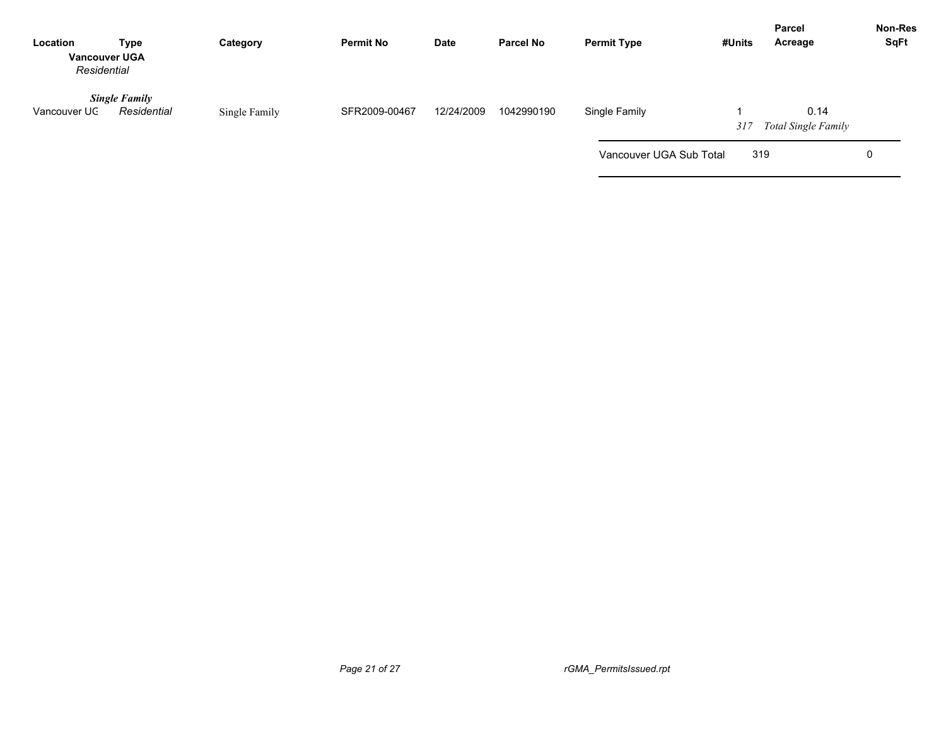| Location<br><b>Vancouver UGA</b><br>Residential | <b>Type</b>                         | Category      | <b>Permit No</b> | <b>Date</b> | <b>Parcel No</b> | <b>Permit Type</b>      | #Units | <b>Parcel</b><br>Acreage           | Non-Res<br><b>SqFt</b> |
|-------------------------------------------------|-------------------------------------|---------------|------------------|-------------|------------------|-------------------------|--------|------------------------------------|------------------------|
| Vancouver UC                                    | <b>Single Family</b><br>Residential | Single Family | SFR2009-00467    | 12/24/2009  | 1042990190       | Single Family           | 317    | 0.14<br><b>Total Single Family</b> |                        |
|                                                 |                                     |               |                  |             |                  | Vancouver UGA Sub Total | 319    |                                    | 0                      |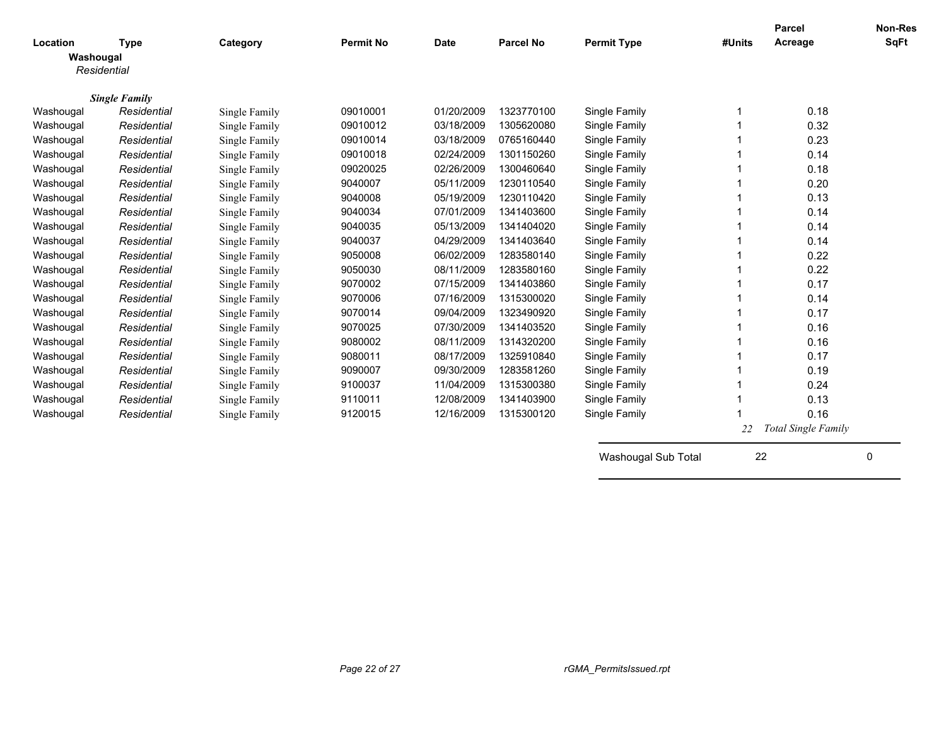|             |                      |               |                  |             |                  |                    |        | Parcel              | <b>Non-Res</b> |
|-------------|----------------------|---------------|------------------|-------------|------------------|--------------------|--------|---------------------|----------------|
| Location    | <b>Type</b>          | Category      | <b>Permit No</b> | <b>Date</b> | <b>Parcel No</b> | <b>Permit Type</b> | #Units | Acreage             | <b>SqFt</b>    |
| Washougal   |                      |               |                  |             |                  |                    |        |                     |                |
| Residential |                      |               |                  |             |                  |                    |        |                     |                |
|             | <b>Single Family</b> |               |                  |             |                  |                    |        |                     |                |
| Washougal   | Residential          | Single Family | 09010001         | 01/20/2009  | 1323770100       | Single Family      |        | 0.18                |                |
| Washougal   | Residential          | Single Family | 09010012         | 03/18/2009  | 1305620080       | Single Family      |        | 0.32                |                |
| Washougal   | Residential          | Single Family | 09010014         | 03/18/2009  | 0765160440       | Single Family      |        | 0.23                |                |
| Washougal   | Residential          | Single Family | 09010018         | 02/24/2009  | 1301150260       | Single Family      |        | 0.14                |                |
| Washougal   | Residential          | Single Family | 09020025         | 02/26/2009  | 1300460640       | Single Family      |        | 0.18                |                |
| Washougal   | Residential          | Single Family | 9040007          | 05/11/2009  | 1230110540       | Single Family      |        | 0.20                |                |
| Washougal   | Residential          | Single Family | 9040008          | 05/19/2009  | 1230110420       | Single Family      |        | 0.13                |                |
| Washougal   | Residential          | Single Family | 9040034          | 07/01/2009  | 1341403600       | Single Family      |        | 0.14                |                |
| Washougal   | Residential          | Single Family | 9040035          | 05/13/2009  | 1341404020       | Single Family      |        | 0.14                |                |
| Washougal   | Residential          | Single Family | 9040037          | 04/29/2009  | 1341403640       | Single Family      |        | 0.14                |                |
| Washougal   | Residential          | Single Family | 9050008          | 06/02/2009  | 1283580140       | Single Family      |        | 0.22                |                |
| Washougal   | Residential          | Single Family | 9050030          | 08/11/2009  | 1283580160       | Single Family      |        | 0.22                |                |
| Washougal   | Residential          | Single Family | 9070002          | 07/15/2009  | 1341403860       | Single Family      |        | 0.17                |                |
| Washougal   | Residential          | Single Family | 9070006          | 07/16/2009  | 1315300020       | Single Family      |        | 0.14                |                |
| Washougal   | Residential          | Single Family | 9070014          | 09/04/2009  | 1323490920       | Single Family      |        | 0.17                |                |
| Washougal   | Residential          | Single Family | 9070025          | 07/30/2009  | 1341403520       | Single Family      |        | 0.16                |                |
| Washougal   | Residential          | Single Family | 9080002          | 08/11/2009  | 1314320200       | Single Family      |        | 0.16                |                |
| Washougal   | Residential          | Single Family | 9080011          | 08/17/2009  | 1325910840       | Single Family      |        | 0.17                |                |
| Washougal   | Residential          | Single Family | 9090007          | 09/30/2009  | 1283581260       | Single Family      |        | 0.19                |                |
| Washougal   | Residential          | Single Family | 9100037          | 11/04/2009  | 1315300380       | Single Family      |        | 0.24                |                |
| Washougal   | Residential          | Single Family | 9110011          | 12/08/2009  | 1341403900       | Single Family      |        | 0.13                |                |
| Washougal   | Residential          | Single Family | 9120015          | 12/16/2009  | 1315300120       | Single Family      |        | 0.16                |                |
|             |                      |               |                  |             |                  |                    | 22     | Total Single Family |                |

Washougal Sub Total 22 0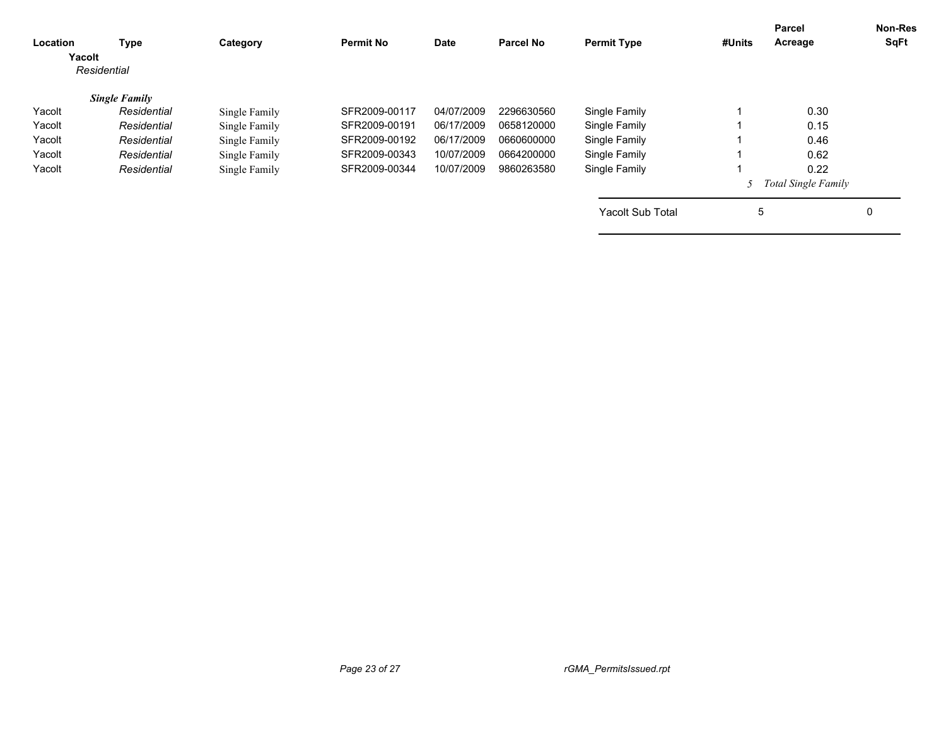|               |                                                                                   | <b>Parcel No</b>                | <b>Permit Type</b>      | #Units | Acreage | SqFt                     |
|---------------|-----------------------------------------------------------------------------------|---------------------------------|-------------------------|--------|---------|--------------------------|
|               |                                                                                   |                                 |                         |        |         |                          |
| SFR2009-00117 | 04/07/2009                                                                        | 2296630560                      | Single Family           |        | 0.30    |                          |
| SFR2009-00191 | 06/17/2009                                                                        | 0658120000                      | Single Family           |        | 0.15    |                          |
| SFR2009-00192 | 06/17/2009                                                                        | 0660600000                      | Single Family           |        | 0.46    |                          |
| SFR2009-00343 | 10/07/2009                                                                        | 0664200000                      | Single Family           |        | 0.62    |                          |
| SFR2009-00344 | 10/07/2009                                                                        | 9860263580                      | Single Family           |        | 0.22    |                          |
|               |                                                                                   |                                 |                         |        |         |                          |
|               |                                                                                   |                                 | <b>Yacolt Sub Total</b> |        |         | 0                        |
|               | Single Family<br>Single Family<br>Single Family<br>Single Family<br>Single Family | <b>Permit No</b><br><b>Date</b> |                         |        |         | Total Single Family<br>5 |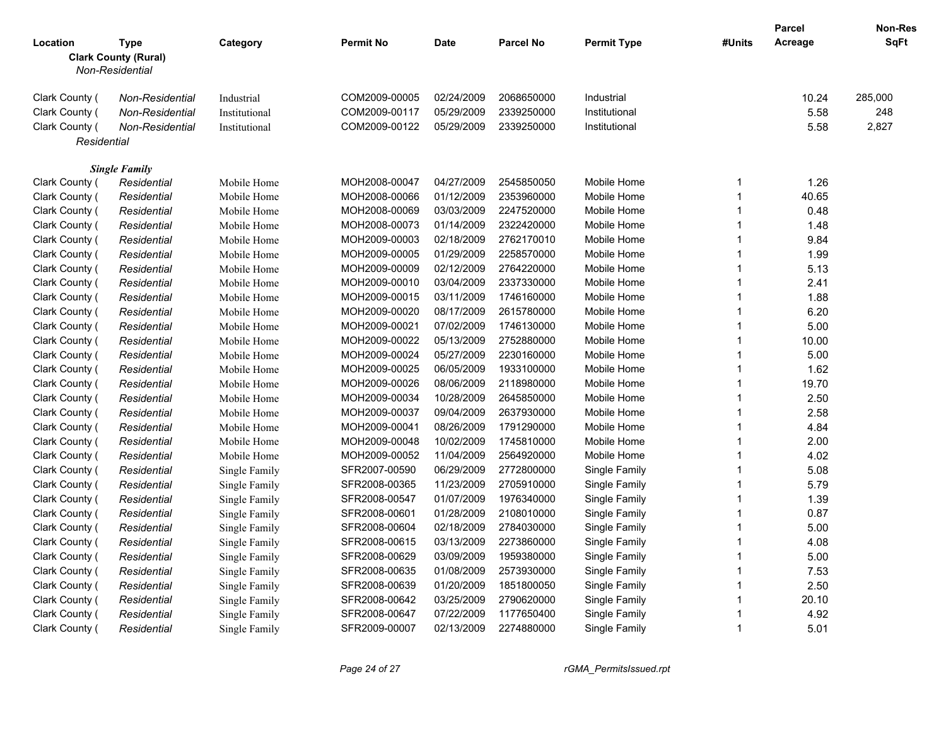|                |                                    |               |                  |             |                  |                    |                         | <b>Parcel</b> | <b>Non-Res</b> |
|----------------|------------------------------------|---------------|------------------|-------------|------------------|--------------------|-------------------------|---------------|----------------|
| Location       | <b>Type</b>                        | Category      | <b>Permit No</b> | <b>Date</b> | <b>Parcel No</b> | <b>Permit Type</b> | #Units                  | Acreage       | SqFt           |
|                | <b>Clark County (Rural)</b>        |               |                  |             |                  |                    |                         |               |                |
|                | Non-Residential                    |               |                  |             |                  |                    |                         |               |                |
| Clark County ( | Non-Residential                    |               | COM2009-00005    | 02/24/2009  | 2068650000       | Industrial         |                         | 10.24         | 285,000        |
| Clark County ( |                                    | Industrial    | COM2009-00117    | 05/29/2009  | 2339250000       | Institutional      |                         | 5.58          | 248            |
| Clark County ( | Non-Residential<br>Non-Residential | Institutional | COM2009-00122    | 05/29/2009  | 2339250000       | Institutional      |                         | 5.58          | 2,827          |
|                |                                    | Institutional |                  |             |                  |                    |                         |               |                |
| Residential    |                                    |               |                  |             |                  |                    |                         |               |                |
|                | <b>Single Family</b>               |               |                  |             |                  |                    |                         |               |                |
| Clark County ( | Residential                        | Mobile Home   | MOH2008-00047    | 04/27/2009  | 2545850050       | Mobile Home        | $\mathbf{1}$            | 1.26          |                |
| Clark County ( | Residential                        | Mobile Home   | MOH2008-00066    | 01/12/2009  | 2353960000       | Mobile Home        | $\overline{1}$          | 40.65         |                |
| Clark County ( | Residential                        | Mobile Home   | MOH2008-00069    | 03/03/2009  | 2247520000       | Mobile Home        | -1                      | 0.48          |                |
| Clark County ( | Residential                        | Mobile Home   | MOH2008-00073    | 01/14/2009  | 2322420000       | Mobile Home        | $\overline{1}$          | 1.48          |                |
| Clark County ( | Residential                        | Mobile Home   | MOH2009-00003    | 02/18/2009  | 2762170010       | Mobile Home        | $\overline{1}$          | 9.84          |                |
| Clark County ( | Residential                        | Mobile Home   | MOH2009-00005    | 01/29/2009  | 2258570000       | Mobile Home        | $\overline{1}$          | 1.99          |                |
| Clark County ( | Residential                        | Mobile Home   | MOH2009-00009    | 02/12/2009  | 2764220000       | Mobile Home        | $\mathbf 1$             | 5.13          |                |
| Clark County ( | Residential                        | Mobile Home   | MOH2009-00010    | 03/04/2009  | 2337330000       | Mobile Home        | $\overline{1}$          | 2.41          |                |
| Clark County ( | Residential                        | Mobile Home   | MOH2009-00015    | 03/11/2009  | 1746160000       | Mobile Home        | $\overline{\mathbf{1}}$ | 1.88          |                |
| Clark County ( | Residential                        | Mobile Home   | MOH2009-00020    | 08/17/2009  | 2615780000       | Mobile Home        | $\overline{1}$          | 6.20          |                |
| Clark County ( | Residential                        | Mobile Home   | MOH2009-00021    | 07/02/2009  | 1746130000       | Mobile Home        | -1                      | 5.00          |                |
| Clark County ( | Residential                        | Mobile Home   | MOH2009-00022    | 05/13/2009  | 2752880000       | Mobile Home        | $\overline{1}$          | 10.00         |                |
| Clark County ( | Residential                        | Mobile Home   | MOH2009-00024    | 05/27/2009  | 2230160000       | Mobile Home        | $\mathbf{1}$            | 5.00          |                |
| Clark County ( | Residential                        | Mobile Home   | MOH2009-00025    | 06/05/2009  | 1933100000       | Mobile Home        | $\overline{1}$          | 1.62          |                |
| Clark County ( | Residential                        | Mobile Home   | MOH2009-00026    | 08/06/2009  | 2118980000       | Mobile Home        | -1                      | 19.70         |                |
| Clark County ( | Residential                        | Mobile Home   | MOH2009-00034    | 10/28/2009  | 2645850000       | Mobile Home        | $\overline{1}$          | 2.50          |                |
| Clark County ( | Residential                        | Mobile Home   | MOH2009-00037    | 09/04/2009  | 2637930000       | Mobile Home        | $\overline{1}$          | 2.58          |                |
| Clark County ( | Residential                        | Mobile Home   | MOH2009-00041    | 08/26/2009  | 1791290000       | Mobile Home        | $\mathbf 1$             | 4.84          |                |
| Clark County ( | Residential                        | Mobile Home   | MOH2009-00048    | 10/02/2009  | 1745810000       | Mobile Home        | -1                      | 2.00          |                |
| Clark County ( | Residential                        | Mobile Home   | MOH2009-00052    | 11/04/2009  | 2564920000       | Mobile Home        | $\overline{1}$          | 4.02          |                |
| Clark County ( | Residential                        | Single Family | SFR2007-00590    | 06/29/2009  | 2772800000       | Single Family      | $\overline{1}$          | 5.08          |                |
| Clark County ( | Residential                        | Single Family | SFR2008-00365    | 11/23/2009  | 2705910000       | Single Family      | $\overline{1}$          | 5.79          |                |
| Clark County ( | Residential                        | Single Family | SFR2008-00547    | 01/07/2009  | 1976340000       | Single Family      | -1                      | 1.39          |                |
| Clark County ( | Residential                        | Single Family | SFR2008-00601    | 01/28/2009  | 2108010000       | Single Family      | $\overline{1}$          | 0.87          |                |
| Clark County ( | Residential                        | Single Family | SFR2008-00604    | 02/18/2009  | 2784030000       | Single Family      | $\overline{1}$          | 5.00          |                |
| Clark County ( | Residential                        | Single Family | SFR2008-00615    | 03/13/2009  | 2273860000       | Single Family      | $\mathbf 1$             | 4.08          |                |
| Clark County ( | Residential                        | Single Family | SFR2008-00629    | 03/09/2009  | 1959380000       | Single Family      | -1                      | 5.00          |                |
| Clark County ( | Residential                        | Single Family | SFR2008-00635    | 01/08/2009  | 2573930000       | Single Family      | $\overline{1}$          | 7.53          |                |
| Clark County ( | Residential                        | Single Family | SFR2008-00639    | 01/20/2009  | 1851800050       | Single Family      | $\overline{1}$          | 2.50          |                |
| Clark County ( | Residential                        | Single Family | SFR2008-00642    | 03/25/2009  | 2790620000       | Single Family      | $\overline{1}$          | 20.10         |                |
| Clark County ( | Residential                        | Single Family | SFR2008-00647    | 07/22/2009  | 1177650400       | Single Family      |                         | 4.92          |                |
| Clark County ( | Residential                        | Single Family | SFR2009-00007    | 02/13/2009  | 2274880000       | Single Family      | $\overline{1}$          | 5.01          |                |
|                |                                    |               |                  |             |                  |                    |                         |               |                |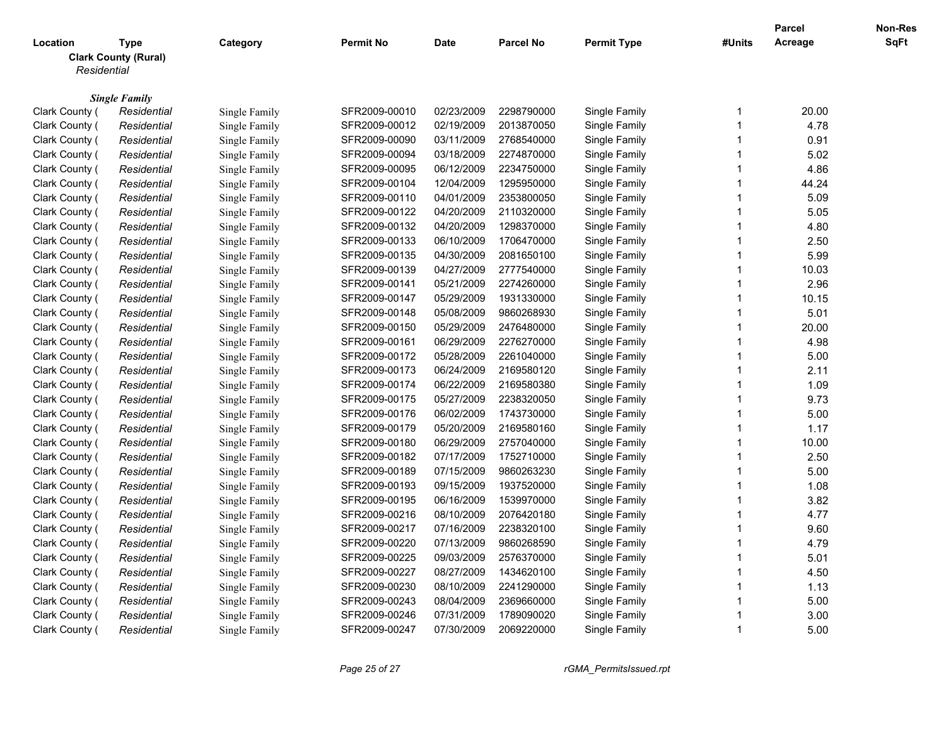|                |                                     |                                |                  |            |                  |                    |                         | <b>Parcel</b> | Non-Res |
|----------------|-------------------------------------|--------------------------------|------------------|------------|------------------|--------------------|-------------------------|---------------|---------|
| Location       | <b>Type</b>                         | Category                       | <b>Permit No</b> | Date       | <b>Parcel No</b> | <b>Permit Type</b> | #Units                  | Acreage       | SqFt    |
|                | <b>Clark County (Rural)</b>         |                                |                  |            |                  |                    |                         |               |         |
| Residential    |                                     |                                |                  |            |                  |                    |                         |               |         |
|                |                                     |                                |                  |            |                  |                    |                         |               |         |
| Clark County ( | <b>Single Family</b><br>Residential |                                | SFR2009-00010    | 02/23/2009 | 2298790000       | Single Family      | $\mathbf{1}$            | 20.00         |         |
| Clark County ( | Residential                         | Single Family<br>Single Family | SFR2009-00012    | 02/19/2009 | 2013870050       | Single Family      | $\overline{\mathbf{1}}$ | 4.78          |         |
|                |                                     | Single Family                  | SFR2009-00090    | 03/11/2009 | 2768540000       | Single Family      | $\mathbf{1}$            | 0.91          |         |
| Clark County ( | Residential                         | Single Family                  |                  | 03/18/2009 | 2274870000       |                    | $\mathbf{1}$            | 5.02          |         |
| Clark County ( | Residential                         |                                | SFR2009-00094    |            |                  | Single Family      | $\mathbf{1}$            | 4.86          |         |
| Clark County ( | Residential                         | Single Family                  | SFR2009-00095    | 06/12/2009 | 2234750000       | Single Family      | $\overline{1}$          |               |         |
| Clark County ( | Residential                         | Single Family                  | SFR2009-00104    | 12/04/2009 | 1295950000       | Single Family      |                         | 44.24         |         |
| Clark County ( | Residential                         | Single Family                  | SFR2009-00110    | 04/01/2009 | 2353800050       | Single Family      | $\overline{1}$          | 5.09          |         |
| Clark County ( | Residential                         | Single Family                  | SFR2009-00122    | 04/20/2009 | 2110320000       | Single Family      | $\mathbf{1}$            | 5.05          |         |
| Clark County ( | Residential                         | Single Family                  | SFR2009-00132    | 04/20/2009 | 1298370000       | Single Family      | $\overline{1}$          | 4.80          |         |
| Clark County ( | Residential                         | Single Family                  | SFR2009-00133    | 06/10/2009 | 1706470000       | Single Family      | $\overline{1}$          | 2.50          |         |
| Clark County ( | Residential                         | Single Family                  | SFR2009-00135    | 04/30/2009 | 2081650100       | Single Family      | 1                       | 5.99          |         |
| Clark County ( | Residential                         | Single Family                  | SFR2009-00139    | 04/27/2009 | 2777540000       | Single Family      | $\mathbf{1}$            | 10.03         |         |
| Clark County ( | Residential                         | Single Family                  | SFR2009-00141    | 05/21/2009 | 2274260000       | Single Family      | $\overline{1}$          | 2.96          |         |
| Clark County ( | Residential                         | Single Family                  | SFR2009-00147    | 05/29/2009 | 1931330000       | Single Family      | $\mathbf{1}$            | 10.15         |         |
| Clark County ( | Residential                         | Single Family                  | SFR2009-00148    | 05/08/2009 | 9860268930       | Single Family      | $\overline{1}$          | 5.01          |         |
| Clark County ( | Residential                         | Single Family                  | SFR2009-00150    | 05/29/2009 | 2476480000       | Single Family      | $\mathbf{1}$            | 20.00         |         |
| Clark County ( | Residential                         | Single Family                  | SFR2009-00161    | 06/29/2009 | 2276270000       | Single Family      | $\overline{1}$          | 4.98          |         |
| Clark County ( | Residential                         | Single Family                  | SFR2009-00172    | 05/28/2009 | 2261040000       | Single Family      | $\mathbf{1}$            | 5.00          |         |
| Clark County ( | Residential                         | Single Family                  | SFR2009-00173    | 06/24/2009 | 2169580120       | Single Family      | $\mathbf{1}$            | 2.11          |         |
| Clark County ( | Residential                         | Single Family                  | SFR2009-00174    | 06/22/2009 | 2169580380       | Single Family      | $\mathbf{1}$            | 1.09          |         |
| Clark County ( | Residential                         | Single Family                  | SFR2009-00175    | 05/27/2009 | 2238320050       | Single Family      | $\overline{1}$          | 9.73          |         |
| Clark County ( | Residential                         | Single Family                  | SFR2009-00176    | 06/02/2009 | 1743730000       | Single Family      | $\mathbf{1}$            | 5.00          |         |
| Clark County ( | Residential                         | Single Family                  | SFR2009-00179    | 05/20/2009 | 2169580160       | Single Family      | $\mathbf{1}$            | 1.17          |         |
| Clark County ( | Residential                         | Single Family                  | SFR2009-00180    | 06/29/2009 | 2757040000       | Single Family      | 1                       | 10.00         |         |
| Clark County ( | Residential                         | Single Family                  | SFR2009-00182    | 07/17/2009 | 1752710000       | Single Family      | $\mathbf{1}$            | 2.50          |         |
| Clark County ( | Residential                         | Single Family                  | SFR2009-00189    | 07/15/2009 | 9860263230       | Single Family      | $\overline{1}$          | 5.00          |         |
| Clark County ( | Residential                         | Single Family                  | SFR2009-00193    | 09/15/2009 | 1937520000       | Single Family      | $\mathbf{1}$            | 1.08          |         |
| Clark County ( | Residential                         | Single Family                  | SFR2009-00195    | 06/16/2009 | 1539970000       | Single Family      | 1                       | 3.82          |         |
| Clark County ( | Residential                         | Single Family                  | SFR2009-00216    | 08/10/2009 | 2076420180       | Single Family      | $\mathbf{1}$            | 4.77          |         |
| Clark County ( | Residential                         | Single Family                  | SFR2009-00217    | 07/16/2009 | 2238320100       | Single Family      | 1                       | 9.60          |         |
| Clark County ( | Residential                         | Single Family                  | SFR2009-00220    | 07/13/2009 | 9860268590       | Single Family      | $\mathbf{1}$            | 4.79          |         |
| Clark County ( | Residential                         | Single Family                  | SFR2009-00225    | 09/03/2009 | 2576370000       | Single Family      | $\overline{1}$          | 5.01          |         |
| Clark County ( | Residential                         | Single Family                  | SFR2009-00227    | 08/27/2009 | 1434620100       | Single Family      | $\mathbf{1}$            | 4.50          |         |
| Clark County ( | Residential                         | Single Family                  | SFR2009-00230    | 08/10/2009 | 2241290000       | Single Family      | $\overline{1}$          | 1.13          |         |
| Clark County ( | Residential                         | Single Family                  | SFR2009-00243    | 08/04/2009 | 2369660000       | Single Family      | $\overline{\mathbf{1}}$ | 5.00          |         |
| Clark County ( | Residential                         | Single Family                  | SFR2009-00246    | 07/31/2009 | 1789090020       | Single Family      | $\overline{1}$          | 3.00          |         |
| Clark County ( | Residential                         | Single Family                  | SFR2009-00247    | 07/30/2009 | 2069220000       | Single Family      | -1                      | 5.00          |         |
|                |                                     |                                |                  |            |                  |                    |                         |               |         |

*Page 25 of 27 rGMA\_PermitsIssued.rpt*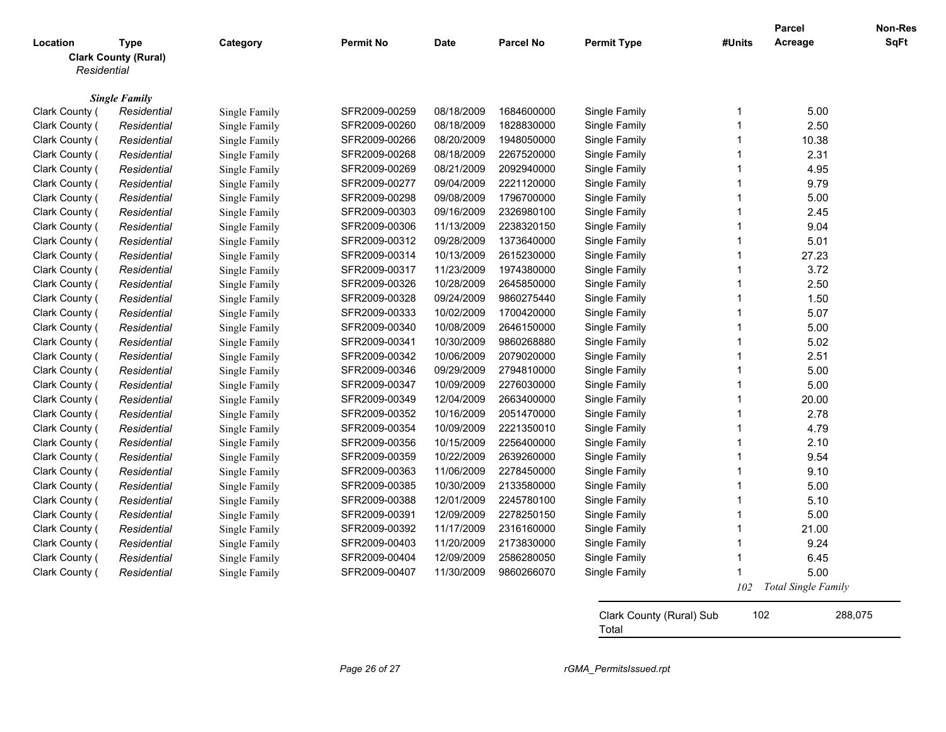|                |                                     |               |                  |             |                  |                          |                         | <b>Parcel</b>       | Non-Res     |
|----------------|-------------------------------------|---------------|------------------|-------------|------------------|--------------------------|-------------------------|---------------------|-------------|
| Location       | <b>Type</b>                         | Category      | <b>Permit No</b> | <b>Date</b> | <b>Parcel No</b> | <b>Permit Type</b>       | #Units                  | Acreage             | <b>SqFt</b> |
|                | <b>Clark County (Rural)</b>         |               |                  |             |                  |                          |                         |                     |             |
| Residential    |                                     |               |                  |             |                  |                          |                         |                     |             |
|                |                                     |               |                  |             |                  |                          |                         |                     |             |
| Clark County ( | <b>Single Family</b><br>Residential | Single Family | SFR2009-00259    | 08/18/2009  | 1684600000       | Single Family            | -1                      | 5.00                |             |
| Clark County ( | Residential                         | Single Family | SFR2009-00260    | 08/18/2009  | 1828830000       | Single Family            | -1                      | 2.50                |             |
| Clark County ( | Residential                         | Single Family | SFR2009-00266    | 08/20/2009  | 1948050000       | Single Family            | $\overline{1}$          | 10.38               |             |
| Clark County ( | Residential                         | Single Family | SFR2009-00268    | 08/18/2009  | 2267520000       | Single Family            | $\overline{1}$          | 2.31                |             |
| Clark County ( | Residential                         | Single Family | SFR2009-00269    | 08/21/2009  | 2092940000       | Single Family            | $\overline{\mathbf{1}}$ | 4.95                |             |
| Clark County ( | Residential                         | Single Family | SFR2009-00277    | 09/04/2009  | 2221120000       | Single Family            | -1                      | 9.79                |             |
| Clark County ( | Residential                         | Single Family | SFR2009-00298    | 09/08/2009  | 1796700000       | Single Family            | $\overline{1}$          | 5.00                |             |
| Clark County ( | Residential                         | Single Family | SFR2009-00303    | 09/16/2009  | 2326980100       | Single Family            | $\overline{1}$          | 2.45                |             |
| Clark County ( | Residential                         | Single Family | SFR2009-00306    | 11/13/2009  | 2238320150       | Single Family            | $\overline{1}$          | 9.04                |             |
| Clark County ( | Residential                         | Single Family | SFR2009-00312    | 09/28/2009  | 1373640000       | Single Family            | $\overline{1}$          | 5.01                |             |
| Clark County ( | Residential                         | Single Family | SFR2009-00314    | 10/13/2009  | 2615230000       | Single Family            | $\overline{1}$          | 27.23               |             |
| Clark County ( | Residential                         | Single Family | SFR2009-00317    | 11/23/2009  | 1974380000       | Single Family            | $\overline{\mathbf{1}}$ | 3.72                |             |
| Clark County ( | Residential                         | Single Family | SFR2009-00326    | 10/28/2009  | 2645850000       | Single Family            | 1                       | 2.50                |             |
| Clark County ( | Residential                         | Single Family | SFR2009-00328    | 09/24/2009  | 9860275440       | Single Family            | $\overline{\mathbf{1}}$ | 1.50                |             |
| Clark County ( | Residential                         | Single Family | SFR2009-00333    | 10/02/2009  | 1700420000       | Single Family            | $\overline{1}$          | 5.07                |             |
| Clark County ( | Residential                         | Single Family | SFR2009-00340    | 10/08/2009  | 2646150000       | Single Family            | $\overline{1}$          | 5.00                |             |
| Clark County ( | Residential                         | Single Family | SFR2009-00341    | 10/30/2009  | 9860268880       | Single Family            | $\overline{1}$          | 5.02                |             |
| Clark County ( | Residential                         | Single Family | SFR2009-00342    | 10/06/2009  | 2079020000       | Single Family            | $\overline{\mathbf{1}}$ | 2.51                |             |
| Clark County ( | Residential                         | Single Family | SFR2009-00346    | 09/29/2009  | 2794810000       | Single Family            | $\overline{1}$          | 5.00                |             |
| Clark County ( | Residential                         | Single Family | SFR2009-00347    | 10/09/2009  | 2276030000       | Single Family            | $\overline{1}$          | 5.00                |             |
| Clark County ( | Residential                         | Single Family | SFR2009-00349    | 12/04/2009  | 2663400000       | Single Family            | $\overline{\mathbf{1}}$ | 20.00               |             |
| Clark County ( | Residential                         | Single Family | SFR2009-00352    | 10/16/2009  | 2051470000       | Single Family            | $\overline{\mathbf{1}}$ | 2.78                |             |
| Clark County ( | Residential                         | Single Family | SFR2009-00354    | 10/09/2009  | 2221350010       | Single Family            | -1                      | 4.79                |             |
| Clark County ( | Residential                         | Single Family | SFR2009-00356    | 10/15/2009  | 2256400000       | Single Family            | $\overline{1}$          | 2.10                |             |
| Clark County ( | Residential                         | Single Family | SFR2009-00359    | 10/22/2009  | 2639260000       | Single Family            | $\overline{1}$          | 9.54                |             |
| Clark County ( | Residential                         | Single Family | SFR2009-00363    | 11/06/2009  | 2278450000       | Single Family            | 1                       | 9.10                |             |
| Clark County ( | Residential                         | Single Family | SFR2009-00385    | 10/30/2009  | 2133580000       | Single Family            | $\overline{\mathbf{1}}$ | 5.00                |             |
| Clark County ( | Residential                         | Single Family | SFR2009-00388    | 12/01/2009  | 2245780100       | Single Family            | $\overline{1}$          | 5.10                |             |
| Clark County ( | Residential                         | Single Family | SFR2009-00391    | 12/09/2009  | 2278250150       | Single Family            | $\overline{\mathbf{1}}$ | 5.00                |             |
| Clark County ( | Residential                         | Single Family | SFR2009-00392    | 11/17/2009  | 2316160000       | Single Family            | $\overline{1}$          | 21.00               |             |
| Clark County ( | Residential                         | Single Family | SFR2009-00403    | 11/20/2009  | 2173830000       | Single Family            | -1                      | 9.24                |             |
| Clark County ( | Residential                         | Single Family | SFR2009-00404    | 12/09/2009  | 2586280050       | Single Family            | 1                       | 6.45                |             |
| Clark County ( | Residential                         | Single Family | SFR2009-00407    | 11/30/2009  | 9860266070       | Single Family            |                         | 5.00                |             |
|                |                                     |               |                  |             |                  |                          | 102                     | Total Single Family |             |
|                |                                     |               |                  |             |                  |                          |                         |                     |             |
|                |                                     |               |                  |             |                  | Clark County (Rural) Sub |                         | 102                 | 288,075     |
|                |                                     |               |                  |             |                  | Total                    |                         |                     |             |